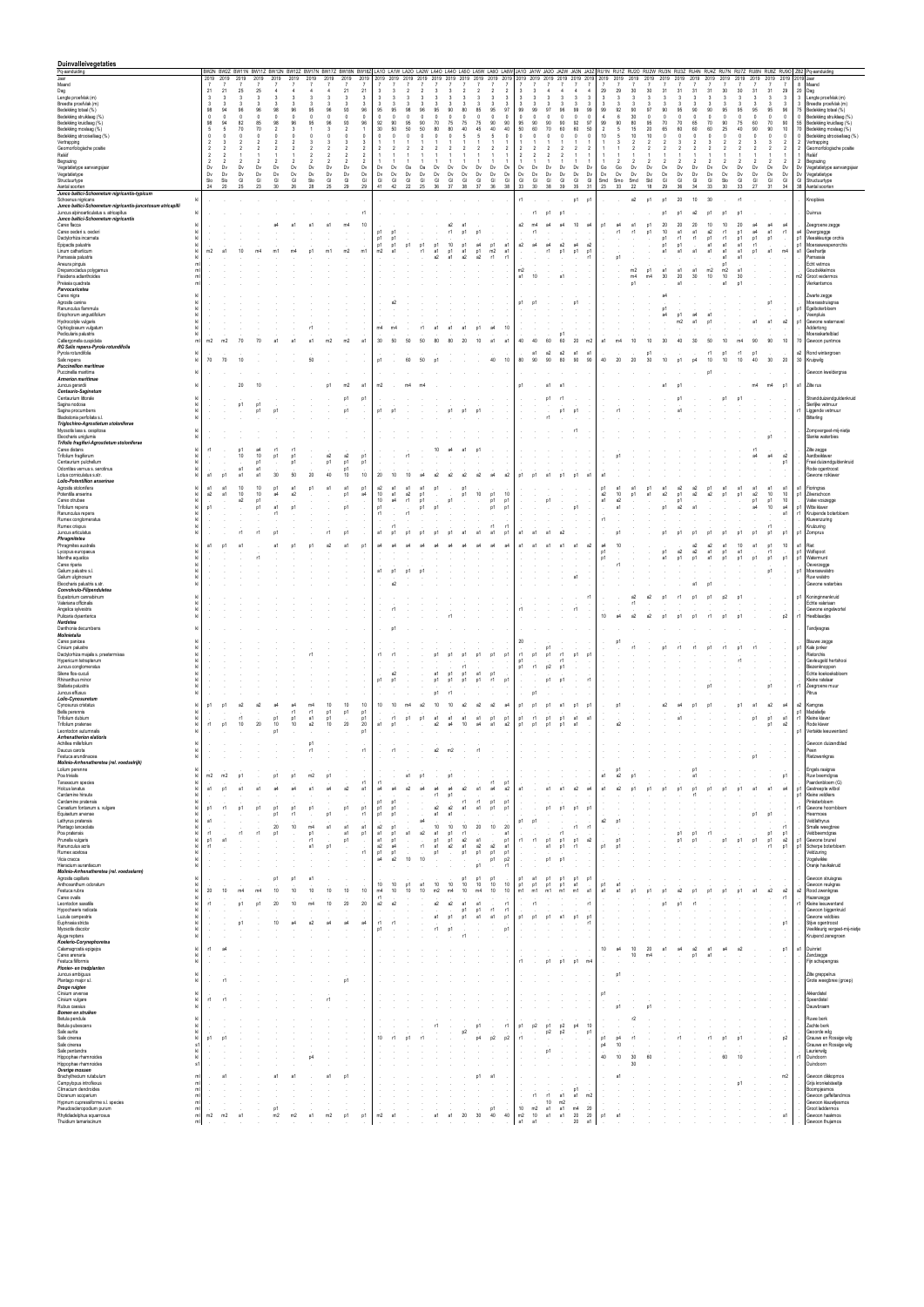| Duinvalleivegetaties                                                                                         |                                  |                               |                          |                          |                                |                                                                                                                                                   |                      |                          |                            |                               |                                                    |                             |                                          |           |                    |                |                               |                          |                      |                                                   |                    |                                                 |                                      |                        |                        |                                                  |                        |                        |                        |                        |                        |                        |                        |                               |                                            | RU1N RU1Z RU2O RU2W RU3N RU3Z RU4N RU4Z RU7N RU7Z RU8N RU8Z RU9O ZB2 Pq-aanduiding |                                                      |
|--------------------------------------------------------------------------------------------------------------|----------------------------------|-------------------------------|--------------------------|--------------------------|--------------------------------|---------------------------------------------------------------------------------------------------------------------------------------------------|----------------------|--------------------------|----------------------------|-------------------------------|----------------------------------------------------|-----------------------------|------------------------------------------|-----------|--------------------|----------------|-------------------------------|--------------------------|----------------------|---------------------------------------------------|--------------------|-------------------------------------------------|--------------------------------------|------------------------|------------------------|--------------------------------------------------|------------------------|------------------------|------------------------|------------------------|------------------------|------------------------|------------------------|-------------------------------|--------------------------------------------|------------------------------------------------------------------------------------|------------------------------------------------------|
| Pq-aanduiding<br>Jaar<br>Maand                                                                               | $\overline{7}$                   | 2019 2019<br>$\overline{7}$   | 2019<br>$\overline{7}$   | 2019<br>$\overline{7}$   | 2019                           | BW2N BW2Z BW11N BW11Z BW12N BW12Z BW17N BW17Z BW18N BW18Z LA1O LA1W LA2O LA2W LA4O LA4O LA5O LA5W LA6O LA6W JA1O JA1W JA2O JA2W JA3N JA3Z<br>2019 | 2019                 | 2019<br>$\overline{7}$   | 2019<br>$\overline{7}$     | 2019<br>$\overline{7}$        | 2019 2019<br>$\overline{7}$                        |                             | 2019<br>2019                             | 2019      | 2019               | 2019           | 2019 2019 2019                | $\overline{7}$           | $\overline{7}$       |                                                   |                    | 2019 2019 2019 2019 2019 2019                   |                                      | 2019<br>$\overline{7}$ | 2019<br>$\overline{7}$ | 2019<br>2019<br>$\overline{7}$<br>$\overline{7}$ | 2019<br>$\overline{7}$ | 2019<br>$\overline{7}$ | 2019<br>$\overline{7}$ | 2019<br>$\overline{7}$ | 2019<br>$\overline{7}$ | 2019<br>$\overline{7}$ | 2019<br>$\overline{7}$ | 2019<br>$\overline{7}$        | $\overline{7}$                             | 2019 2019 Jaar<br>8 Maand                                                          |                                                      |
| Dag<br>Lengte proefvlak (m)                                                                                  | 21<br>$\mathbf{3}$               | 21<br>$\overline{\mathbf{3}}$ | 25<br>3                  | 25<br>3                  | $\Delta$<br>$\mathbf{3}$       | 3                                                                                                                                                 | $\mathbf{3}$         | $\overline{4}$<br>3      | 21<br>$\overline{3}$       | 21<br>$\overline{3}$          | $\overline{\mathbf{3}}$<br>$\overline{\mathbf{3}}$ | $\mathbf{3}$<br>3           | $\overline{\phantom{a}}$<br>3<br>3       |           |                    |                | $\overline{\phantom{a}}$<br>3 | $\mathcal{P}$<br>3       | $\overline{2}$<br>3  | $\mathbf{3}$<br>$\mathbf{3}$<br>$\mathbf{3}$<br>3 | 3                  | $\overline{4}$<br>$\overline{\mathbf{3}}$<br>-3 | $\overline{4}$<br>-3                 | 29<br>3                | 29<br>3                | 30<br>30<br>3<br>3                               | 31<br>$\mathbf{3}$     | 31<br>3                | 31                     | 31<br>3                | 30<br>$\mathbf{3}$     | 30<br>3                | 31<br>-3               | 31<br>$\overline{\mathbf{3}}$ | $29\,$<br>$\overline{\mathbf{3}}$          | 20 Dag                                                                             | 3 Lengte proefvlak (m)                               |
| Breedte proefvlak (m)<br>Bedekking totaal (%)                                                                | $\mathbf{3}$<br>98               | $\overline{\mathbf{3}}$<br>94 | $\mathbf{3}$<br>96       | 3<br>96                  | $\mathbf{3}$<br>98             | 3<br>96                                                                                                                                           | $\mathbf{3}$<br>95   | 3<br>96                  | $\mathbf{3}$<br>93         | $\overline{\mathbf{3}}$<br>96 | $\overline{\mathbf{3}}$<br>95                      | 3<br>95                     | 3<br>3<br>98<br>96                       | 95        | 90                 | 80             | 3<br>85                       | 3<br>95                  | 3<br>97              | 3<br>3<br>99<br>99                                | $\mathbf{3}$<br>97 | $\overline{\mathbf{3}}$<br>3<br>96              | 3<br>99<br>99                        | 3<br>99                | 3<br>92                | 97<br>90                                         | 90                     | 95                     | 90                     | 3<br>90                | $\mathbf{3}$<br>95     | $\mathbf{3}$<br>95     | 95                     | $\mathbf{3}$<br>95            | $\overline{\mathbf{3}}$<br>96              | 75                                                                                 | 3 Breedte proefvlak (m)<br>Bedekking totaal (%)      |
| Bedekking struiklaag (%)<br>Bedekking kruidlaag (%)                                                          | $\mathbf{0}$<br>98               | $^{\circ}$<br>94              | $\mathbf{0}$<br>82       | $\Omega$<br>85           | $\Omega$<br>98                 | $\Omega$<br>96                                                                                                                                    | $^{\circ}$<br>95     | $\mathbf 0$<br>96        | $\overline{0}$<br>93       | $\mathbf{0}$<br>96            | $\overline{0}$<br>92                               | $\Omega$<br>90              | $\mathbf{0}$<br>$\mathbf{0}$<br>90<br>95 | 70        | 75                 | 75             | $\Omega$<br>75                | 0<br>90                  | $\mathbf 0$<br>90    | $\mathbf{0}$<br>- 0<br>95<br>90                   | $\mathbf{0}$<br>90 | $\Omega$<br>90                                  | $\mathbf 0$<br>$\Omega$<br>92<br>-97 | $\Delta$<br>99         | 6<br>90                | 30<br>$\sqrt{ }$<br>80<br>95                     | $\Omega$<br>70         | $\Omega$<br>70         | 65                     | $\Omega$<br>70         | $\Omega$<br>90         | $^{\circ}$<br>75       | 60                     | $\mathbf{0}$<br>70            | $\overline{\mathbf{0}}$<br>$90\,$          | $\Omega$<br>55                                                                     | Bedekking struiklaag (%)<br>Bedekking kruidlaag (%)  |
| Bedekking moslaag (%)<br>Bedekking strooisellaag (%)                                                         | 5<br>$\circ$                     | -5<br>$\Omega$                | 70<br>$\Omega$           | 70<br>$\sqrt{2}$         |                                |                                                                                                                                                   | $\Omega$             | 3<br>£                   | $\overline{2}$<br>$\Omega$ | $\Omega$                      | 30<br>$\Omega$                                     | 50                          | 50<br>50<br>$\sqrt{ }$                   | 80        | 80                 | 40             | 45                            | 40<br>5                  | 40<br>$\Omega$       | $50\,$<br>60<br>$\Omega$<br>$\Omega$              | 70<br>$\Omega$     | 60<br>$\Omega$                                  | 60<br>5(<br>$\Omega$<br>$\Omega$     | $\mathcal{P}$<br>10    |                        | 20                                               | 65<br>$\sqrt{2}$       | ĥ۵                     | -60                    |                        | 25                     | 40<br>$\Omega$         | ۹N                     | 90<br>$\Omega$                | $10$<br>$\mathbf{0}$                       | 70<br>$\Omega$                                                                     | Bedekking moslaag (%)<br>Bedekking strooisellaag (%) |
| Vertrapping<br>Geomorfologische positie                                                                      | $\overline{2}$<br>$\overline{2}$ | -3<br>$\overline{2}$          | 2                        |                          |                                |                                                                                                                                                   |                      | 3                        | -3                         | 3<br>2                        | $\overline{2}$                                     |                             |                                          |           |                    |                |                               |                          | $\mathfrak{p}$       |                                                   |                    | 2                                               |                                      |                        |                        |                                                  |                        |                        |                        |                        |                        |                        |                        | 3                             | $\overline{2}$<br>$\overline{\phantom{a}}$ | 2 Vertrapping<br>$\overline{2}$                                                    | Geomorfologische positie                             |
| Reliëf<br>Begrazing                                                                                          | $\overline{2}$<br>$\overline{2}$ | 2<br>$\overline{2}$           | $\overline{\phantom{a}}$ | $\overline{\phantom{a}}$ |                                |                                                                                                                                                   |                      | $\overline{\phantom{a}}$ | $\overline{2}$             | $\overline{\phantom{a}}$      |                                                    |                             |                                          |           |                    |                |                               |                          | $\mathcal{P}$        |                                                   |                    |                                                 |                                      |                        |                        |                                                  |                        |                        |                        |                        |                        |                        |                        |                               | $\overline{2}$                             | 1 Reliëf<br>2 Begrazing                                                            |                                                      |
| Vegetatietype aanvangsjaar<br>Vegetatietype                                                                  | Dv<br>Dv                         | Dv<br>Dv                      | Dv<br>Dv                 | Dv<br>Dv                 | Dv<br>Dv                       | Dv<br>Dv                                                                                                                                          | Dv<br>Dv             | Dv<br>Dv                 | Dv<br>Dv                   | Dv<br>Dv                      | Dv<br>Dv                                           | Dv<br>Dv                    | Oa<br>Oa<br>Dv<br>Dv                     | Dv<br>Dv  | Dv<br>Dv           | Dv<br>Dv       | Dv<br>Dv                      | Dv<br>Dv                 | Dv<br>Dv             | Dv<br>Dv<br>Dv<br>Dv                              | Dv<br>Dv           | Dv<br>Dv<br>Dv<br>Dv                            | Dv<br>Dv                             | Go<br>Dv               | Go<br>Dv               | <b>Dy</b><br>DV<br>Dv<br>Dv                      | Dy<br>Dv               | Dv<br>Dv               | D)<br>Dv               | Dν<br>Dv               | <b>Dv</b><br>Dv        | Dv<br>Dv               | Dν<br>Dv               | Dv<br>Dv                      | Dv<br>Dv                                   | Dv<br>Dv<br>Vegetatietype                                                          | Vegetatietype aanvangsjaar                           |
| Structuurtype<br>Aantal soorten                                                                              | Slo<br>24                        | Slo<br>20                     | GI<br>25                 | GI<br>23                 | GI<br>30                       | GI<br>26                                                                                                                                          | Slo<br>28            | GI<br>25                 | GI<br>29                   | GI<br>29                      | GI<br>41                                           | GI<br>42                    | GI<br>GI<br>22<br>25                     | GI<br>-36 | $\mathbb{G}$<br>37 | GI<br>38       | GI<br>37                      | GI<br>36                 | GI<br>38             | GI<br>GI<br>33<br>30                              | GI<br>38           | GI<br>39                                        | GI<br>GI<br>35<br>31                 | Smd<br>23              | Smo<br>33              | Sld<br>Smd<br>22<br>18                           | GI<br>29               | GI<br>36               | GI<br>-34              | GI<br>33               | Slo<br>30              | GI<br>33               | GI<br>27               | GI<br>31                      | $\mathbb{G}$<br>34                         | GI<br>Structuurtype<br>38 Aantal soorten                                           |                                                      |
| Junco baltici-Schoenetum nigricantis-typicum<br>Schoenus nigricans<br>K                                      |                                  |                               |                          |                          |                                |                                                                                                                                                   |                      |                          |                            |                               |                                                    |                             |                                          |           |                    |                |                               |                          |                      | r1                                                |                    |                                                 | p1<br>p1                             |                        |                        | a2<br>- p1                                       | <b>p1</b>              | 20                     | 10                     | 30                     |                        | r1                     |                        |                               |                                            | Knopbies                                                                           |                                                      |
| Junco baltici-Schoenetum nigricantis-juncetosum atricapilli<br>Juncus alpinoarticulatus s. atricapillus<br>k |                                  |                               |                          |                          |                                |                                                                                                                                                   |                      |                          |                            | r1                            |                                                    |                             |                                          |           |                    |                |                               |                          |                      | r1                                                | D <sub>1</sub>     | D1                                              |                                      |                        |                        |                                                  | D'                     |                        |                        |                        |                        |                        |                        |                               |                                            | Duinrus                                                                            |                                                      |
| Junco baltici-Schoenetum nigricantis<br>Carex flacca<br>kl                                                   |                                  |                               |                          |                          |                                |                                                                                                                                                   |                      | a1                       | m4                         | 10                            |                                                    |                             |                                          |           | a2                 | a1             |                               |                          |                      | a2<br>m4                                          | a4                 | a4                                              | 10<br>a                              | p1                     | a <sub>4</sub>         | a1                                               | 20                     | 20                     |                        |                        | 10                     | 20                     |                        |                               | a4                                         |                                                                                    | Zeegroene zegge                                      |
| Carex oederi s. oederi<br>K<br>Dactylorhiza incarnata<br>kl                                                  |                                  |                               |                          |                          |                                |                                                                                                                                                   |                      |                          |                            |                               | p1<br>p1                                           | <b>p1</b><br>p1             |                                          |           | r1                 | p1             | p1                            |                          |                      | r1<br>$\sim$                                      |                    |                                                 |                                      |                        |                        | n1                                               | 10<br>p1               | a1<br>r1               | r1                     | a2<br>D1               | r1<br>r1               | p1                     | a4<br>p1               | a1<br>D1                      | r1                                         | a4<br>Dwergzegge<br>p1                                                             | Vleeskleurige orchis                                 |
| Epipactis palustris<br>kl<br>Linum catharticum<br>K                                                          | m2                               | - a1                          | 10                       | m4                       |                                |                                                                                                                                                   | n1                   | m1                       | m2                         | m1                            | p1<br>m2                                           | p1<br>- a1                  | D1<br>p1<br>r1                           | p1<br>a1  | 10<br>p1           | D1<br>a1       | a4<br>p1                      | p1<br>a1<br>m2           | a1                   | a2<br>Ad                                          | a4<br>r1           | a2<br>p1<br>D1                                  | a4<br>а2<br>p1                       |                        |                        |                                                  | p1<br>a1               | p1<br>a1               |                        | a1<br>a1               | a1<br>a1               | a1<br>a1               | r1<br>p1               | a1                            | m4                                         | p1<br>a1<br>Geelhartje                                                             | Moeraswespenorchis                                   |
| Parnassia palustris<br>kl<br>Aneura pinguis<br>ml                                                            |                                  |                               |                          |                          |                                |                                                                                                                                                   |                      |                          |                            |                               |                                                    |                             |                                          | а2        | .a1                | а2             | a2                            | r1                       | -r1                  |                                                   |                    |                                                 | -r1                                  |                        |                        |                                                  |                        |                        |                        |                        | a1<br>p1               | а1                     |                        |                               |                                            | Parnassia<br>Echt vetmos                                                           |                                                      |
| ml<br>Drepanocladus polygamus<br>Fissidens adianthoides<br>ml                                                |                                  |                               |                          |                          |                                |                                                                                                                                                   |                      |                          |                            |                               |                                                    |                             |                                          |           |                    |                |                               |                          |                      | m2<br>a1<br>10                                    |                    | a1                                              |                                      |                        | $\sim$                 | m2<br>p1<br>m4<br>m4                             | a1<br>30               | a1<br>20               | a1<br>30               | m2<br>10               | m <sub>2</sub><br>$10$ | a1<br>30               |                        |                               |                                            | m2 Groot vedermos                                                                  | Goudsikkelmos                                        |
| ml<br>Preissia quadrata<br>Parvocaricetea                                                                    |                                  |                               |                          |                          |                                |                                                                                                                                                   |                      |                          |                            |                               |                                                    |                             |                                          |           |                    |                |                               |                          |                      |                                                   |                    |                                                 |                                      |                        |                        | p1                                               |                        | a1                     |                        |                        | a1                     | p1                     |                        |                               |                                            | Vierkantsmos                                                                       |                                                      |
| kl<br>Carex nigra<br>Agrostis canina<br>kl<br>kl                                                             |                                  |                               |                          |                          |                                |                                                                                                                                                   |                      |                          |                            |                               |                                                    | а2                          |                                          |           |                    |                |                               |                          |                      | p1<br>D1                                          |                    | p1                                              |                                      |                        |                        |                                                  | a4                     |                        |                        |                        |                        |                        |                        | p1                            |                                            | Zwarte zegge                                                                       | Moerasstruisgras                                     |
| Ranunculus flammula<br>Eriophorum angustifolium<br>k                                                         |                                  |                               |                          |                          |                                |                                                                                                                                                   |                      |                          |                            |                               |                                                    |                             |                                          |           |                    |                |                               |                          |                      |                                                   |                    |                                                 |                                      |                        |                        |                                                  | p1<br>A <sup>4</sup>   | n1                     | a4                     | a.                     |                        |                        |                        |                               |                                            | p1 Egelboterbloem<br>Veenpluis                                                     |                                                      |
| Hydrocotyle vulgaris<br>k<br>Ophioglossum vulgatum<br>kl<br>Pedicularis palustris                            |                                  |                               |                          |                          |                                |                                                                                                                                                   | r1                   |                          |                            |                               | m4                                                 | m4                          | r1                                       | a.        | a1                 | -a1            | D1                            | а4                       | 10                   |                                                   |                    |                                                 |                                      |                        |                        |                                                  |                        | m <sub>2</sub>         | <b>a1</b>              |                        |                        |                        | a1                     | <b>a1</b>                     | a2                                         | Addertong                                                                          | p1 Gewone waternavel<br>Moeraskartelblad             |
| Calliergonella cuspidata<br>ml<br>RG Salix repens-Pyrola rotundifolia                                        | m2                               | m2                            | 70                       | 70                       |                                | a1                                                                                                                                                |                      | m2                       | m <sub>2</sub>             | a'                            | 30                                                 | 50                          | 50<br>50                                 | 80        | 80                 | 20             | 10                            | a'<br>a1                 |                      | 40<br>40                                          | 60                 | p1<br>60                                        | 20<br>m2                             | a1                     |                        |                                                  | -30                    | 40                     |                        |                        | 10                     | m4                     | 90                     | 90                            | 10                                         | 70                                                                                 | Gewoon puntmos                                       |
| Pyrola rotundifolia<br>kl<br>Salix repens<br>kl                                                              | 70                               | 70                            | 10                       |                          |                                |                                                                                                                                                   | 50                   |                          |                            |                               | p1                                                 |                             | 50<br>60                                 | p1        |                    |                |                               | 40                       | 10                   | a1<br>80<br>90                                    | a2<br>90           | a2<br>80                                        | a1<br>a'<br>90<br>90                 | 40                     | 20                     | p1<br>20<br>30                                   | 10                     | p1                     | <sub>D4</sub>          | r1<br>10               | p1<br>10               | r1<br>10               | p1<br>40               | 30                            | $20\,$                                     | a2<br>30 <sup>1</sup><br>Kruipwilg                                                 | Rond wintergroen                                     |
| <b>Puccinellion maritimae</b><br>Puccinellia maritima<br>k                                                   |                                  |                               |                          |                          |                                |                                                                                                                                                   |                      |                          |                            |                               |                                                    |                             |                                          |           |                    |                |                               |                          |                      |                                                   |                    |                                                 |                                      |                        |                        |                                                  |                        |                        |                        |                        |                        |                        |                        |                               |                                            |                                                                                    | Gewoon kweldergras                                   |
| <b>Armerion maritimae</b><br>Juncus gerardii<br>kl                                                           |                                  |                               | 20                       | 10                       |                                |                                                                                                                                                   |                      | p1                       | m <sub>2</sub>             | a1                            | m2                                                 | m <sub>4</sub>              |                                          |           |                    |                |                               |                          |                      | p1                                                | a1                 | a1                                              |                                      |                        |                        |                                                  | а1                     |                        |                        |                        |                        |                        | m4                     | m4                            | p1                                         | a1 Zite rus                                                                        |                                                      |
| Centaurio-Saginetum<br>Centaurium littorale<br>kl                                                            | $\sim$                           |                               |                          |                          |                                |                                                                                                                                                   |                      |                          | p1                         | p1                            |                                                    |                             |                                          |           |                    |                |                               |                          |                      | $\sim$                                            | p1                 | r1                                              |                                      |                        |                        |                                                  |                        |                        |                        |                        | p1                     |                        |                        |                               |                                            |                                                                                    | Strandduizendguldenkruid                             |
| Sagina nodosa<br>kl<br>kl<br>Sagina procumbens                                                               | $\sim$<br>$\sim$                 | $\sim$<br>$\sim$              | p1                       | p1<br>p1                 | p1                             |                                                                                                                                                   |                      | $\sim$                   | p1                         |                               | p1                                                 | p1                          |                                          |           | p1                 | D1             | p1                            |                          |                      |                                                   |                    | p1                                              | p1                                   |                        |                        |                                                  |                        |                        |                        |                        |                        |                        |                        |                               |                                            | r1                                                                                 | Sierlijke vetmuur<br>Liggende vetmuur                |
| Blackstonia perfoliata s.l.<br>и<br>Triglochino-Agrostietum stoloniferae                                     |                                  |                               |                          |                          |                                |                                                                                                                                                   |                      |                          |                            |                               |                                                    |                             |                                          |           |                    |                |                               |                          |                      |                                                   | r1                 |                                                 |                                      |                        |                        |                                                  |                        |                        |                        |                        |                        |                        |                        |                               |                                            | Bitterling                                                                         |                                                      |
| Myosotis laxa s. cespitosa<br>kl<br>Eleocharis uniqlumis<br>K                                                |                                  |                               |                          |                          |                                |                                                                                                                                                   |                      |                          |                            |                               |                                                    |                             |                                          |           |                    |                |                               |                          |                      |                                                   |                    | r1                                              |                                      |                        |                        |                                                  |                        |                        |                        |                        |                        |                        |                        | D1                            |                                            |                                                                                    | Zompvergeet-mij-nietje<br>Slanke waterbies           |
| Trifolio fragiferi-Agrostietum stoloniferae<br>Carex distans<br>kl                                           | r1                               |                               | D1                       | a4                       | r1                             | -r1                                                                                                                                               |                      |                          |                            |                               |                                                    |                             |                                          |           |                    |                |                               |                          |                      |                                                   |                    |                                                 |                                      |                        |                        |                                                  |                        |                        |                        |                        |                        |                        | r1                     |                               |                                            | Zite zegge                                                                         |                                                      |
| Trifolium fragiferum<br>K<br>Centaurium pulchellum<br>K<br>Odontites vernus s. serotinus<br>kl               |                                  | $\sim$                        | 10<br>a1                 | 10<br>p1<br>a1           | p1<br>$\sim$                   | D1<br>p1                                                                                                                                          |                      | a2<br>p1                 | a2<br>p1<br>p1             | p1<br>p1                      |                                                    | - r1                        |                                          |           |                    |                |                               |                          |                      |                                                   |                    |                                                 |                                      |                        |                        |                                                  |                        |                        |                        |                        |                        |                        |                        | a4                            | a2<br>p1                                   | Aardbeiklaver                                                                      | Fraai duizendguldenkruid<br>Rode ogentroost          |
| Lotus corniculatus s.str.<br>kI.<br><b>Lolio-Potentillion anserinae</b>                                      | a1                               | p1                            | a1                       | a1                       | 30                             | 50                                                                                                                                                | 20                   | 40                       | 10                         | 10                            | 20                                                 | 10                          | 10                                       |           | э?                 |                | э2                            | ad                       | a2<br>p1             | n1                                                | a1                 | D1                                              | p1<br>a1                             | a1                     |                        |                                                  |                        |                        |                        |                        |                        |                        |                        |                               |                                            |                                                                                    | Gewone rolklaver                                     |
| Agrostis stolonifera<br>k<br>Potentila anserina<br>K                                                         | a1<br>a2                         | - a1<br>a1                    | 10<br>10                 | 10<br>10                 | n <sub>1</sub><br>$\mathsf{a}$ | а1<br>a2                                                                                                                                          | n1                   | a1                       | a1<br>p1                   | p1<br>a4                      | a2<br>10                                           | - a1<br>a1<br>a1            | a1<br>a2<br>p1                           | n1        |                    | D1<br>p1       | 10                            | p1                       | 10                   |                                                   |                    |                                                 |                                      | p1<br>a2               | - a1<br>10             | a1<br>n1<br>a1<br>p1                             | a1<br>a2               | a2<br>p1               | а2<br>a2               | a2                     | a1<br>p1               | .a1<br>p1              | a1<br>a2               | a1<br>10                      | a1<br>10                                   | a1 Fioringras<br>p1 Zilverschoon                                                   |                                                      |
| kl<br>Carex otrubae<br>Trifolium repens<br>K                                                                 | p1                               |                               | a2                       | p1<br>p1                 | a1                             |                                                                                                                                                   |                      |                          | p1                         |                               | $10\,$<br>p1                                       | a4                          | r1<br>p1<br>p1                           | D1        | p1                 |                |                               | p1<br>p1<br><b>p1</b>    | p1                   |                                                   | p1                 |                                                 | p1                                   | a1                     | a <sub>2</sub>         |                                                  | p1                     | p1<br>a2               |                        |                        |                        |                        | p1<br>a4               | p1<br>10                      | $10$<br>a4                                 | p1 Witte klaver                                                                    | Valse voszegge                                       |
| Ranunculus repens<br>kl<br>Rumex conglomeratus<br>kl                                                         | $\sim$                           |                               |                          |                          | r1                             |                                                                                                                                                   |                      |                          |                            |                               | r1                                                 |                             | r1                                       |           |                    |                |                               | $\sim$                   |                      |                                                   |                    |                                                 |                                      | r1                     |                        |                                                  |                        |                        |                        |                        |                        |                        |                        |                               | a1                                         | Kluwenzuring                                                                       | r1 Kruipende boterbloem                              |
| Rumex crispus<br>kl<br>kl<br>Juncus articulatus                                                              | $\sim$                           |                               | r1                       | r1                       | D1                             |                                                                                                                                                   |                      | r1                       | p1                         |                               | a1                                                 | r1<br>p1                    | p1<br>p1                                 | p1        | p1                 | a1             | a1                            | r1<br>-r1<br>a1<br>p1    |                      | a1<br>a1                                          | a1                 | a2                                              |                                      |                        | p1                     |                                                  | p1                     | p1                     | p1                     | p1                     | p1                     | p1                     | p1                     | r1<br>p1                      | p1                                         | Krulzuring<br>p1 Zomprus                                                           |                                                      |
| Phragmitetea<br>Phragmites australis<br>kl                                                                   | a1                               | p1                            | a1                       |                          | a1                             | p1                                                                                                                                                | p1                   | a2                       | a1                         | p1                            | a4                                                 | A <sup>2</sup>              | яá                                       |           |                    |                | а4                            | a4                       | a4                   | a1<br>a1                                          | a1                 | a1<br>a1                                        | a2                                   | a4                     | 10                     |                                                  |                        |                        | a2                     | a2                     | a1                     | 10                     | a1                     | p1                            | $10$                                       | a1 Riet                                                                            |                                                      |
| k<br>Lycopus europaeus<br>Mentha aquatica<br>k                                                               |                                  |                               |                          | r1                       |                                |                                                                                                                                                   |                      |                          |                            |                               |                                                    |                             |                                          |           |                    |                |                               |                          |                      |                                                   |                    |                                                 |                                      | p1<br>p1               |                        |                                                  | p1<br>a1               | a2<br>p1               | a2<br><sub>D</sub> 1   | a1<br>a1               | p1<br>p <sub>1</sub>   | a1<br>p <sub>1</sub>   | D1                     | r1<br>n1                      | p1                                         | p1<br>Wolfspoot<br>p1<br>Natermunt                                                 |                                                      |
| Carex riparia<br>k<br>Galium palustre s.l<br>k                                                               |                                  |                               |                          |                          |                                |                                                                                                                                                   |                      |                          |                            |                               | a1                                                 | p1                          | n1                                       |           |                    |                |                               |                          |                      |                                                   |                    |                                                 | $\sim$                               |                        | r1                     |                                                  |                        |                        |                        |                        |                        |                        |                        | D1                            |                                            | Oeverzegge<br>p1<br>Moeraswalstro                                                  |                                                      |
| Galium uliginosum<br>K<br>Eleocharis palustris s.str<br>kl                                                   |                                  |                               |                          |                          |                                |                                                                                                                                                   |                      |                          |                            |                               |                                                    | a                           |                                          |           |                    |                |                               |                          |                      |                                                   |                    | a1                                              |                                      |                        |                        |                                                  |                        |                        |                        |                        |                        |                        |                        |                               |                                            | Ruw walstro                                                                        | Gewone waterbies                                     |
| Convolvulo-Filipenduletea<br>Eupatorium cannabinum<br>$\mathsf{M}$<br>k                                      |                                  |                               |                          |                          |                                |                                                                                                                                                   |                      |                          |                            |                               |                                                    |                             |                                          |           |                    |                |                               |                          |                      |                                                   |                    |                                                 | -r1                                  |                        |                        | a2<br>а2                                         | D'                     | r1                     |                        |                        |                        |                        |                        |                               |                                            | p1 Koninginnenkruid                                                                |                                                      |
| Valeriana officinalis<br>Angelica sylvestris<br>k<br>Pulicaria dysenterica<br>kl                             |                                  |                               |                          |                          |                                |                                                                                                                                                   |                      |                          |                            |                               |                                                    | r1                          |                                          |           | r1                 |                |                               |                          |                      | á.<br>$\sim$                                      | $\sim$             | $\sim$                                          | r1                                   | $\sim$<br>10           | а4                     | -r1<br>a2<br>a <sub>2</sub>                      | D'                     | n <sub>1</sub>         | D1                     | r1                     | D1                     | D1                     |                        |                               | p <sub>2</sub>                             | Heelblaadjes<br>r1                                                                 | Echte valeriaan<br>Gewone engelwortel                |
| Nardetea<br>Danthonia decumbens<br>kl                                                                        |                                  |                               |                          |                          |                                |                                                                                                                                                   |                      |                          |                            |                               |                                                    |                             |                                          |           |                    |                |                               |                          |                      |                                                   |                    |                                                 |                                      |                        |                        |                                                  |                        |                        |                        |                        |                        |                        |                        |                               |                                            | Tandjesgras                                                                        |                                                      |
| Molinietalia<br>Carex panicea<br>kl                                                                          |                                  |                               |                          |                          |                                |                                                                                                                                                   |                      |                          |                            |                               |                                                    |                             |                                          |           |                    |                |                               |                          |                      | 20                                                |                    |                                                 |                                      |                        |                        |                                                  |                        |                        |                        |                        |                        |                        |                        |                               |                                            | Blauwe zegge                                                                       |                                                      |
| kl<br>Cirsium palustre<br>Dactylorhiza majalis s. praetermissa<br>kl                                         |                                  |                               |                          |                          |                                |                                                                                                                                                   |                      |                          |                            |                               | r1                                                 | -r1                         |                                          | n1        | n1                 | n1             | D1                            | <b>p1</b><br>D1          |                      | r1<br>n1                                          | p1<br>p1           | r1<br><b>p1</b>                                 | n1                                   |                        |                        |                                                  |                        | r1                     | r1                     |                        | r1                     |                        |                        |                               |                                            | p1 Kale jonker<br>Rietorchis                                                       |                                                      |
| Hypericum tetrapterum<br>kl<br>Juncus conglomeratus<br>kl                                                    |                                  |                               |                          |                          |                                |                                                                                                                                                   |                      |                          |                            |                               |                                                    |                             |                                          |           |                    | r1             |                               |                          |                      | p1<br>p1<br>r1                                    | p2                 | r1<br>D <sub>1</sub>                            |                                      |                        |                        |                                                  |                        |                        |                        |                        |                        |                        |                        |                               |                                            |                                                                                    | Gevleugeld hertshooi<br>Biezenknoppen                |
| Silene flos-cuculi<br>kl<br>Rhinanthus minor<br>kl                                                           |                                  |                               |                          |                          |                                |                                                                                                                                                   |                      |                          |                            |                               | p1                                                 | a <sub>2</sub><br><b>p1</b> |                                          | a1<br>p1  | p1<br>p1           | p1<br>D1       | a1<br>p1                      | p1<br>r1                 | p1                   | $\sim$                                            | p1                 |                                                 |                                      |                        |                        |                                                  |                        |                        |                        |                        |                        |                        |                        |                               |                                            | Kleine ratelaar                                                                    | Echte koekoeksbloem                                  |
| Stellaria palustris<br>kl<br>Juncus effusus<br>kl                                                            |                                  |                               |                          |                          |                                |                                                                                                                                                   |                      |                          |                            |                               |                                                    |                             |                                          | p1        |                    |                |                               |                          |                      | $\sim$<br>D                                       |                    |                                                 |                                      |                        |                        |                                                  |                        |                        |                        |                        |                        |                        |                        |                               |                                            | r1<br>Pitrus                                                                       | Zeegroene muur                                       |
| Lolio-Cynosuretum<br>k<br>Cynosurus cristatus                                                                | p1                               | D1                            | a2                       | a2                       |                                |                                                                                                                                                   | m4                   | 10                       | 10                         | 10                            | 10                                                 | 10                          | а2<br>md                                 |           |                    | эΣ             | a2                            | a2                       | a                    | p1<br>n1                                          | p1                 | a1                                              | p1<br>D.                             |                        |                        |                                                  |                        |                        |                        |                        |                        | D1                     |                        | a2                            | a4                                         | a2 Kamgras                                                                         |                                                      |
| Bellis perennis<br>kl<br>Trifolium dubium<br>kl                                                              |                                  |                               | r1                       |                          | p1                             | r1<br>p1                                                                                                                                          | r1<br>a1             | p1<br>p1                 | p1                         | p1<br>p1                      |                                                    | r1<br>n1                    | n1                                       | a1        | a1                 | - a1           | a1                            | n1<br>D1                 |                      | p1<br>r1                                          | p1                 | <b>p1</b><br>a1                                 | a'                                   |                        |                        |                                                  |                        |                        |                        |                        |                        |                        | n1                     | <b>p1</b>                     | a1                                         | p1<br>Madeliefje<br>r1 Kleine klaver                                               |                                                      |
| Trifolium pratense<br>K<br>Leontodon autumnalis<br>kl                                                        | r1<br>$\epsilon$                 | p1                            | 10                       | 20                       | 10<br>D <sub>1</sub>           | 10                                                                                                                                                | a2                   | 10                       | 20                         | 20<br>p1                      | a1                                                 | p1                          |                                          | a2        | a4                 | 10             | a4                            | a1                       | a2                   | p1<br>p1                                          | p1                 | p1<br>a1                                        |                                      |                        | a2                     |                                                  |                        |                        |                        |                        |                        |                        |                        | p1                            | a2                                         | Rode klaver                                                                        | p1 Vertakte leeuwentand                              |
| <b>Arrhenatherion elatioris</b><br>Achillea millefolium<br>kl<br>kl<br>Daucus carota                         | $\sim$                           |                               |                          |                          |                                |                                                                                                                                                   | p1<br>r1             |                          |                            | r1                            |                                                    | r1                          |                                          | a2        | m2                 |                | r1                            |                          |                      |                                                   |                    |                                                 |                                      |                        |                        |                                                  |                        |                        |                        |                        |                        |                        |                        |                               |                                            | Peen                                                                               | Gewoon duizendblad                                   |
| kl<br>Festuca arundinacea<br>Molinio-Arrhenatheretea (rel. voedselrijk)                                      | $\sim$<br>$\sim$                 |                               |                          |                          |                                |                                                                                                                                                   |                      | $\sim$                   | $\sim$                     |                               |                                                    |                             |                                          |           |                    |                |                               |                          |                      |                                                   |                    |                                                 |                                      |                        |                        |                                                  |                        |                        |                        |                        |                        |                        | p1                     |                               | $\sim$                                     | Rietzwenkgras                                                                      |                                                      |
| Lolium perenne<br>k<br>Poa trivialis<br>k                                                                    | m2                               | m2                            | n1                       |                          |                                | n1                                                                                                                                                | m <sub>2</sub>       | n1                       |                            |                               |                                                    |                             | - a1<br>n1                               |           | D1                 |                |                               |                          |                      |                                                   |                    |                                                 |                                      | a1                     | n1<br>а2               | n'                                               |                        |                        | -a1                    |                        |                        |                        |                        |                               | p1                                         |                                                                                    | Engels raaigras<br>Ruw beemdgras                     |
| Taraxacum species<br>kl<br>Holcus lanatus<br>kl                                                              | a1                               | n1                            | a.                       | a.                       |                                |                                                                                                                                                   |                      |                          | -a2                        | r1                            | r1<br>a4                                           |                             |                                          |           |                    |                |                               | r1<br>D1                 | a2                   |                                                   | a1                 | a1                                              | a2                                   | а1                     |                        |                                                  |                        |                        |                        |                        |                        |                        | a1                     | a1                            | a4                                         | p1                                                                                 | Paardenbloem (G)<br>Gestreepte witbol                |
| Cardamine hirsuta<br>kl<br>Cardamine pratensis<br>kl                                                         |                                  |                               |                          |                          |                                |                                                                                                                                                   |                      |                          |                            |                               | p1                                                 | p1                          |                                          |           | p1                 | r1             | r1                            | p1                       | p1                   |                                                   |                    |                                                 |                                      |                        |                        |                                                  |                        |                        |                        |                        |                        |                        |                        |                               |                                            | p1<br>Pinksterbloem                                                                | Kleine veldkers                                      |
| Cerastium fontanum s. vulgare<br>K<br>Equisetum arvense<br>kl                                                | p1                               | r1                            | n1                       | D1                       | D1<br>D1                       | p1<br>r1                                                                                                                                          | p1                   | p1                       | p1                         | p1<br>r1                      | p1<br>p1                                           | p1<br>n1                    |                                          | a2<br>a1  | a2<br>a1           | a1             | a1                            | p1<br><b>p1</b>          |                      |                                                   | p1                 | D1                                              | p1<br>D <sup>1</sup>                 |                        |                        |                                                  |                        |                        |                        |                        |                        |                        | p1                     | D1                            |                                            | r1<br>leermoes                                                                     | Gewone hoornbloem                                    |
| Lathyrus pratensis<br>k<br>Plantago lanceolata<br>K                                                          | a1                               |                               |                          |                          | 20                             | 10                                                                                                                                                | m4                   | a1                       | a1                         | a1                            | a2                                                 | n1                          |                                          | 10        | 10                 | 10             | 20                            | 10 <sup>10</sup>         | 20                   | p1<br>n'                                          |                    |                                                 | r1<br>-r1                            | a2                     |                        |                                                  |                        |                        |                        |                        |                        |                        |                        |                               | r1                                         | Veldlathyrus                                                                       | Smalle weegbree                                      |
| Poa pratensis<br>K<br>Prunella vulgaris<br>kl                                                                | r1<br>p1                         | a1                            | r1                       | r1                       | D <sub>1</sub>                 |                                                                                                                                                   | p <sub>1</sub><br>r1 | $\sim$                   | a1<br>p1                   | p1                            | a1<br>a1                                           | p1<br>p1                    | a2<br>а1                                 | a1<br>p1  | p1<br>p1           | -r1<br>a2      | a1                            | a1<br>p <sub>1</sub>     |                      | r1<br>r1                                          | p1                 | r1<br>p1<br>p1                                  | -a2                                  |                        |                        |                                                  |                        | p1<br>p1               |                        | r1                     | p1                     | $\sim$<br>D1           | p1                     | p1<br>p1                      | p1<br>a2                                   | p1                                                                                 | Veldbeemdgras<br>Gewone brunel                       |
| Ranunculus acris<br>K<br>Rumex acetosa<br>K                                                                  | r1<br>$\sim$                     |                               |                          |                          |                                |                                                                                                                                                   | a1                   | p1                       |                            | r1                            | $a2$<br>$p1$                                       | a<br>p1                     | r1                                       | a1<br>p1  | a2                 | a1<br>p1       | a2<br>p1                      | a2<br>a1<br>p1<br>p1     |                      | $\sim$                                            | a1<br>$\sim$       | p1                                              | r1                                   | p1                     |                        |                                                  |                        |                        |                        |                        |                        |                        |                        | r1                            | p1                                         | p1<br>/eldzuring                                                                   | Scherpe boterbloem                                   |
| k<br>Vicia cracca<br>K<br>Hieracium aurantiacum<br>Molinio-Arrhenatheretea (rel. voedselarm)                 | $\sim$                           |                               |                          |                          |                                |                                                                                                                                                   |                      |                          |                            |                               | a4                                                 | a2                          | 10<br>10                                 |           |                    |                | p1                            | p1                       | p <sub>2</sub><br>r1 |                                                   | p1                 | D <sub>1</sub>                                  |                                      |                        |                        |                                                  |                        |                        |                        |                        |                        |                        |                        |                               |                                            | Vogelwikke                                                                         | Oranje havikskruid                                   |
| Agrostis capillaris<br>k<br>Anthoxanthum odoratum<br>k                                                       |                                  |                               |                          |                          |                                | 'n                                                                                                                                                |                      |                          |                            |                               | 10                                                 | 10<br>n1                    | a1                                       | 10        | 10                 | D1<br>10       | p1<br>10                      | n1<br>10 <sup>10</sup>   | 10                   | p1<br>a1<br>p1<br>n1                              | n1<br>n1           | n1<br>n1<br>a1                                  | p1<br>n'                             | D1                     | - a1                   |                                                  |                        |                        |                        |                        |                        |                        |                        |                               |                                            |                                                                                    | Gewoon struisgras<br>Gewoon reukgras                 |
| Festuca rubra<br>kl<br>Carex ovalis<br>kl                                                                    | 20                               | 10                            | m4                       |                          |                                |                                                                                                                                                   | 10                   | 10 <sup>10</sup>         | 10                         | 10                            | m4<br>r1                                           | 10                          | 10                                       |           | m4                 | 10             | m <sub>4</sub>                | 10                       | 10                   | m1                                                | m1                 | m1<br>m1                                        | $a^{\prime}$                         | a1                     |                        |                                                  |                        |                        |                        |                        |                        |                        |                        | a2                            | a2<br>r1                                   | a2<br>lazenzegge                                                                   | Rood zwenkgras                                       |
| Leontodon saxatilis<br>kl<br>Hypochaeris radicata<br>kl                                                      | r1                               |                               | n1                       | D1                       | $\mathfrak{p}$                 | $10^{1}$                                                                                                                                          | m4                   | 10                       | 20                         | 20                            | a2                                                 | a2                          |                                          | a2        | a <sup>2</sup>     | a1<br>p1       | a1<br>p1                      | -r1<br>r1<br>-r1         |                      | r1                                                |                    |                                                 | -r1                                  |                        |                        |                                                  |                        |                        |                        |                        |                        |                        |                        |                               |                                            | r1                                                                                 | Kleine leeuwentand<br>Gewoon biggenkruid             |
| Luzula campestris<br>k<br>Euphrasia stricta<br>k                                                             |                                  |                               | p1                       |                          | 10                             | a4                                                                                                                                                | а2                   | a4                       | a4                         | A <sup>4</sup>                | r1                                                 |                             |                                          | a1        | p1                 | p1             | a1                            | a1                       | p1                   | p1                                                |                    | a1<br>p1                                        |                                      |                        |                        |                                                  |                        |                        |                        |                        |                        |                        |                        |                               | p1                                         |                                                                                    | Gewone veldbies<br>Stijve ogentroost                 |
| kl<br>Myosotis discolor<br>k<br>Ajuga reptans                                                                |                                  |                               |                          |                          |                                |                                                                                                                                                   |                      |                          |                            |                               | p <sub>1</sub>                                     |                             |                                          |           | p1                 |                |                               |                          | D'                   |                                                   |                    |                                                 |                                      |                        |                        |                                                  |                        |                        |                        |                        |                        |                        |                        |                               |                                            |                                                                                    | Veelkleurig vergeet-mij-nietje<br>Kruipend zenegroen |
| Koelerio-Corynephoretea<br>Calamagrostis epigejos<br>kl                                                      | r1                               | a <sub>4</sub>                |                          |                          |                                |                                                                                                                                                   |                      |                          |                            |                               |                                                    |                             |                                          |           |                    |                |                               |                          |                      |                                                   |                    |                                                 |                                      | 10                     |                        | 10<br>20                                         |                        |                        | a2                     | a1                     |                        | а2                     |                        |                               | p1                                         | a1 Duinriet                                                                        |                                                      |
| Carex arenaria<br>K<br>Festuca filiformis<br>K                                                               |                                  |                               |                          |                          |                                |                                                                                                                                                   |                      |                          |                            |                               |                                                    |                             |                                          |           |                    |                |                               |                          |                      | r1<br>$\sim$                                      | p1                 | p1<br>p1                                        | m4                                   |                        |                        | 10<br>m <sup>2</sup>                             |                        |                        | D1                     | a1                     |                        |                        |                        |                               |                                            | Zandzegge                                                                          | Fijn schapengras                                     |
| Pionier- en tredplanten<br>Juncus ambiguus<br>kl                                                             | $\sim$                           |                               |                          |                          |                                |                                                                                                                                                   |                      |                          |                            |                               |                                                    |                             |                                          |           |                    |                |                               |                          |                      |                                                   |                    |                                                 |                                      |                        |                        |                                                  |                        |                        |                        |                        |                        |                        |                        |                               |                                            |                                                                                    | Zite greppelrus                                      |
| k<br>Plantago major s.l.<br>Droge ruigten                                                                    |                                  | r1                            |                          |                          |                                |                                                                                                                                                   |                      |                          | p1                         |                               |                                                    |                             |                                          |           |                    |                |                               |                          |                      |                                                   |                    |                                                 |                                      |                        |                        |                                                  |                        |                        |                        |                        |                        |                        |                        |                               |                                            |                                                                                    | Grote weegbree (groep)                               |
| k<br>Cirsium arvense<br>Cirsium vulgare<br>kl                                                                | r1                               | r1                            |                          |                          |                                |                                                                                                                                                   |                      | r1                       |                            |                               |                                                    |                             |                                          |           |                    |                |                               |                          |                      |                                                   |                    |                                                 |                                      | p1                     |                        |                                                  |                        |                        |                        |                        |                        |                        |                        |                               |                                            | Akkerdistel<br>Speerdistel                                                         |                                                      |
| Rubus caesius<br>kl<br>Bomen en struiken                                                                     |                                  |                               |                          |                          |                                |                                                                                                                                                   |                      |                          |                            |                               |                                                    |                             |                                          |           |                    |                |                               |                          |                      |                                                   |                    |                                                 |                                      |                        |                        |                                                  |                        |                        |                        |                        |                        |                        |                        |                               |                                            | Dauwbraam                                                                          |                                                      |
| K<br>Betula pendula<br>Betula pubescens<br>K                                                                 | $\epsilon$                       |                               |                          |                          |                                |                                                                                                                                                   |                      |                          |                            |                               |                                                    |                             |                                          | r1        |                    |                | p1                            | $\sim$                   | r1                   | p1<br>p2                                          | p1                 | p2<br>p4                                        | 10                                   |                        |                        | r2                                               |                        |                        |                        |                        |                        |                        |                        |                               |                                            | Ruwe berk<br>Zachte berk                                                           |                                                      |
| K<br>Salix aurita<br>$\mathsf{M}$<br>Salix cinerea                                                           | p1                               | p1                            |                          |                          |                                |                                                                                                                                                   |                      |                          |                            |                               | 10                                                 | $\sim$<br>r1                | $\sim$ $\sim$<br>$\sim$<br>p1<br>r1      |           |                    | p <sub>2</sub> | $\sim$<br>p4                  | $\sim$<br>p <sub>2</sub> | $\sim$<br>p2<br>r1   | $\sim$                                            | p2                 | p2                                              | p1<br>$\sim$                         | p1                     | D <sub>0</sub>         | rf1                                              |                        | r1                     |                        | r1                     | p1                     | D1                     |                        |                               | p2                                         | Geoorde wilg                                                                       | Grauwe en Rossige wilg                               |
| Salix cinerea<br>s1<br>Salix pentandra<br>kl<br>Hippophae rhamnoides<br>$\mathsf{K}$                         |                                  |                               |                          |                          |                                |                                                                                                                                                   | p4                   | $\sim$                   |                            |                               |                                                    |                             |                                          |           |                    |                |                               | $\sim$<br>$\sim$         | $\sim$               |                                                   | p1                 |                                                 | $\sim$<br>$\sim$                     | p4<br>40               | 10<br>10               | 30<br>60                                         |                        |                        |                        |                        | 60                     | 10                     | $\sim$                 |                               |                                            | Laurierwilg<br>r1 Duindoorn                                                        | Grauwe en Rossige wilg                               |
| Hippophae rhamnoides<br>s1<br>Overige mossen                                                                 | $\sim$<br>$\sim$                 |                               |                          |                          |                                |                                                                                                                                                   |                      |                          |                            |                               |                                                    |                             |                                          |           |                    |                |                               |                          |                      |                                                   | $\sim$             |                                                 |                                      | $\sim$                 | $\sim$                 | 30                                               |                        |                        |                        |                        |                        |                        |                        |                               |                                            | Duindoorn                                                                          |                                                      |
| Brachythecium rutabulum<br>ml<br>Campylopus introflexus<br>ml                                                | $\sim$                           | a1                            |                          |                          |                                | a1                                                                                                                                                |                      | a1                       | p1                         |                               |                                                    |                             |                                          |           |                    |                | p1                            | a1                       |                      | $\sim$                                            | $\sim$<br>$\sim$   | contract and state<br>$\sim$ 100 $\mu$          | $\sim$                               | $\sim$<br>$\sim$       | a1                     |                                                  |                        |                        |                        |                        |                        |                        |                        |                               | m2<br>$\sim$                               |                                                                                    | Gewoon dikkopmos<br>Grijs kronkelsteeltje            |
| Climacium dendroides<br>ml<br>Dicranum scoparium<br>ml                                                       |                                  |                               |                          |                          |                                |                                                                                                                                                   |                      |                          |                            |                               |                                                    |                             |                                          |           |                    |                |                               |                          |                      | $\sim$<br>r1                                      | r1                 | p1<br>a1<br>a1                                  | m <sup>2</sup>                       |                        |                        |                                                  |                        |                        |                        |                        |                        |                        |                        |                               | $\sim$                                     | Boompjesmos                                                                        | Gewoon gaffeltandmos                                 |
| Hypnum cupressiforme s.l. species<br>ml<br>Pseudoscleropodium purum<br>ml                                    |                                  |                               |                          |                          | n1                             |                                                                                                                                                   |                      |                          |                            |                               |                                                    |                             |                                          |           |                    |                |                               | <b>p1</b>                |                      | 10<br>m2                                          | 10<br>a1           | m <sub>2</sub><br>a1                            | m4 20                                |                        |                        |                                                  |                        |                        |                        |                        |                        |                        |                        |                               |                                            |                                                                                    | Gewoon klauwtjesmos<br>Groot laddermos               |
| Rhytidiadelphus squarrosus<br>ml<br>Thuidium tamariscinum<br>ml                                              | m2                               | m2                            | a1                       |                          | m2                             | m <sup>2</sup>                                                                                                                                    | a1                   | m <sub>2</sub>           | p1                         | p1                            | m2                                                 | - a1                        |                                          | a1        | a1                 | 20             | 30 40 40                      |                          | a1                   | m2 10<br>a1                                       | a1 a1              | 20                                              | 20<br>20<br>a1                       | p1                     | a1                     |                                                  |                        |                        |                        |                        |                        |                        |                        |                               | a1                                         |                                                                                    | Gewoon haakmos<br>Gewoon thujamos                    |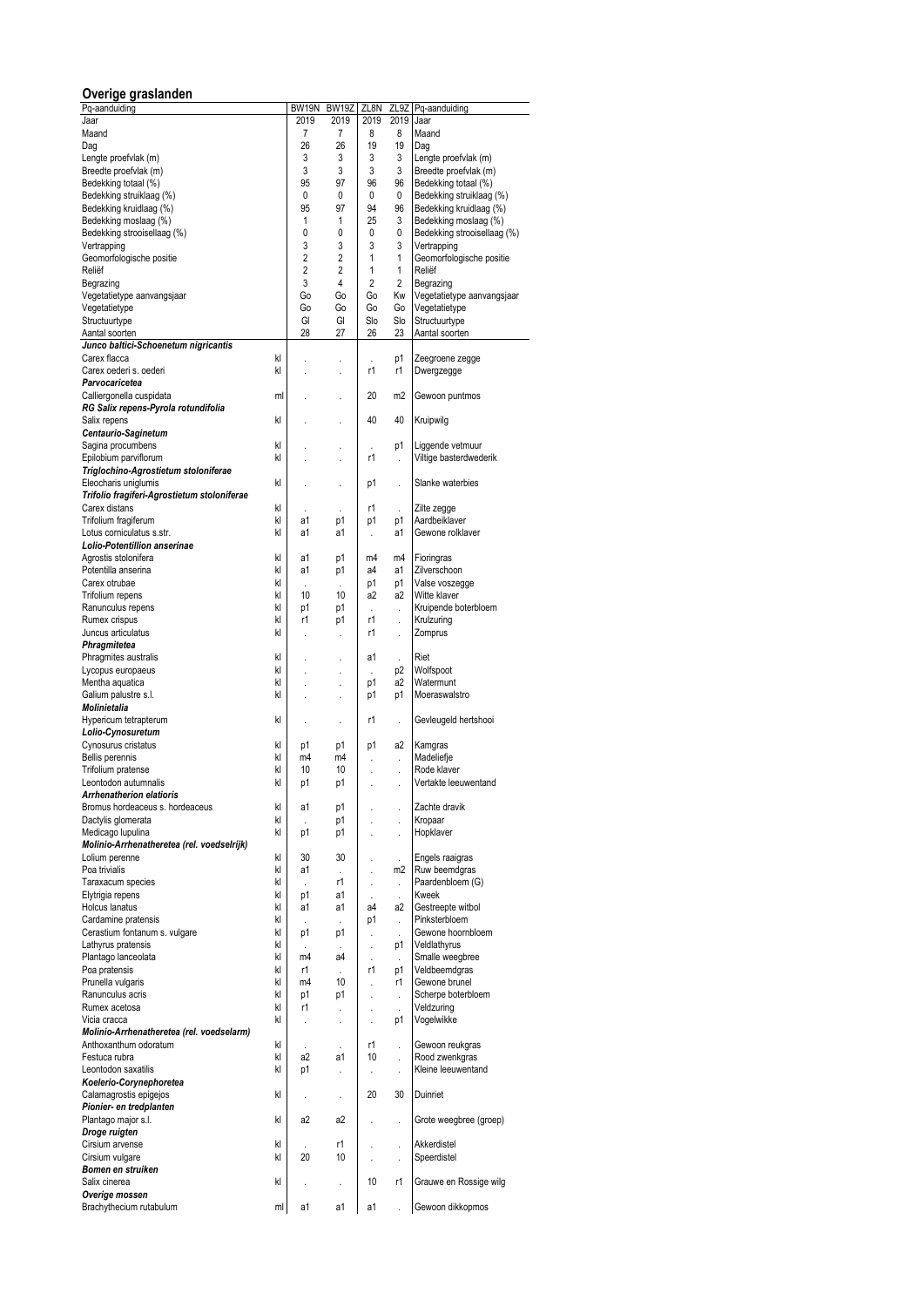# **Overige graslanden**

| Overige graslanden                          |    |          |                      |              |                      |                                    |
|---------------------------------------------|----|----------|----------------------|--------------|----------------------|------------------------------------|
| Pa-aanduiding                               |    | BW19N    | BW19Z                | ZL8N         | ZL9Z                 | Pq-aanduiding                      |
| Jaar                                        |    | 2019     | 2019                 | 2019         | 2019                 | Jaar                               |
| Maand                                       |    | 7        | $\overline{7}$       | 8            | 8                    | Maand                              |
| Dag<br>Lengte proefvlak (m)                 |    | 26<br>3  | 26<br>3              | 19<br>3      | 19<br>3              | Dag<br>Lengte proefvlak (m)        |
| Breedte proefvlak (m)                       |    | 3        | 3                    | 3            | 3                    | Breedte proefvlak (m)              |
| Bedekking totaal (%)                        |    | 95       | 97                   | 96           | 96                   | Bedekking totaal (%)               |
| Bedekking struiklaag (%)                    |    | 0        | 0                    | 0            | 0                    | Bedekking struiklaag (%)           |
| Bedekking kruidlaag (%)                     |    | 95       | 97                   | 94           | 96                   | Bedekking kruidlaag (%)            |
| Bedekking moslaag (%)                       |    | 1        | 1                    | 25           | 3                    | Bedekking moslaag (%)              |
| Bedekking strooisellaag (%)                 |    | 0        | 0                    | 0            | 0                    | Bedekking strooisellaag (%)        |
| Vertrapping                                 |    | 3        | 3                    | 3            | 3                    | Vertrapping                        |
| Geomorfologische positie                    |    | 2        | 2                    | 1            | 1                    | Geomorfologische positie           |
| Reliëf                                      |    | 2        | 2                    | 1            | 1                    | Reliëf                             |
| Begrazing                                   |    | 3        | 4                    | 2            | 2                    | Begrazing                          |
| Vegetatietype aanvangsjaar                  |    | Go       | Go                   | G٥           | Kw                   | Vegetatietype aanvangsjaar         |
| Vegetatietype                               |    | Go       | Go                   | Go           | G٥                   | Vegetatietype                      |
| Structuurtype                               |    | GI       | GI                   | Slo          | Slo                  | Structuurtype                      |
| Aantal soorten                              |    | 28       | 27                   | 26           | 23                   | Aantal soorten                     |
| Junco baltici-Schoenetum nigricantis        |    |          |                      |              |                      |                                    |
| kl<br>Carex flacca                          |    |          |                      |              | p1                   | Zeegroene zegge                    |
| Carex oederi s. oederi<br>kl                |    |          |                      | r1           | r1                   | Dwergzegge                         |
| Parvocaricetea                              |    |          |                      |              |                      |                                    |
| Calliergonella cuspidata<br>ml              |    |          |                      | 20           | m2                   | Gewoon puntmos                     |
| RG Salix repens-Pyrola rotundifolia         |    |          |                      |              |                      |                                    |
| Salix repens<br>kl                          |    |          |                      | 40           | 40                   | Kruipwilg                          |
| Centaurio-Saginetum                         |    |          |                      |              |                      |                                    |
| Sagina procumbens<br>kl                     |    |          |                      | ä,           | p1                   | Liggende vetmuur                   |
| Epilobium parviflorum<br>kl                 |    |          |                      | r1           |                      | Viltige basterdwederik             |
| Triglochino-Agrostietum stoloniferae        |    |          |                      |              |                      |                                    |
| Eleocharis uniglumis<br>kl                  |    |          |                      | p1           | l,                   | Slanke waterbies                   |
| Trifolio fragiferi-Agrostietum stoloniferae |    |          |                      |              |                      |                                    |
| Carex distans<br>kl                         |    |          |                      | r1           | ÷.                   | Zilte zegge                        |
| Trifolium fragiferum<br>kl                  |    | a1       | p1                   | p1           | p1                   | Aardbeiklaver                      |
| Lotus corniculatus s.str.<br>kl             |    | a1       | a1                   |              | a1                   | Gewone rolklaver                   |
| Lolio-Potentillion anserinae                |    |          |                      |              |                      |                                    |
| kl<br>Agrostis stolonifera                  |    | a1       | p1                   | m4           | m4                   | Fioringras                         |
| Potentilla anserina<br>kl                   |    | a1       | p1                   | a4           | a1                   | Zilverschoon                       |
| kl<br>Carex otrubae                         |    |          | $\lambda$            | p1           | p1                   | Valse voszegge                     |
| kl<br>Trifolium repens<br>kl                |    | 10       | 10                   | a2           | a2                   | Witte klaver                       |
| Ranunculus repens<br>kl                     |    | p1<br>r1 | p1                   | l.<br>r1     | $\ddot{\phantom{0}}$ | Kruipende boterbloem<br>Krulzuring |
| Rumex crispus<br>Juncus articulatus<br>kl   |    |          | p1                   | r1           | ÷.                   | Zomprus                            |
| Phragmitetea                                |    |          | ÷,                   |              | ł.                   |                                    |
| kl<br>Phragmites australis                  |    |          |                      | a1           |                      | Riet                               |
| kl<br>Lycopus europaeus                     |    |          |                      | ä,           | ÷,<br>p2             | Wolfspoot                          |
| kl<br>Mentha aquatica                       |    |          | J.                   | p1           | a2                   | Watermunt                          |
| kl<br>Galium palustre s.l.                  |    |          |                      | p1           | p1                   | Moeraswalstro                      |
| Molinietalia                                |    |          |                      |              |                      |                                    |
| kl<br>Hypericum tetrapterum                 |    |          | $\ddot{\phantom{a}}$ | r1           | $\ddot{\phantom{a}}$ | Gevleugeld hertshooi               |
| Lolio-Cynosuretum                           |    |          |                      |              |                      |                                    |
| kl<br>Cynosurus cristatus                   |    | p1       | p1                   | p1           | a2                   | Kamgras                            |
| kl<br>Bellis perennis                       |    | m4       | m4                   | ł.           | ÷,                   | Madeliefje                         |
| kl<br>Trifolium pratense                    |    | 10       | 10                   |              |                      | Rode klaver                        |
| Leontodon autumnalis<br>kl                  |    | p1       | p1                   |              |                      | Vertakte leeuwentand               |
| Arrhenatherion elatioris                    |    |          |                      |              |                      |                                    |
| Bromus hordeaceus s. hordeaceus<br>kl       |    | a1       | p1                   |              | $\ddot{\phantom{0}}$ | Zachte dravik                      |
| kl<br>Dactylis glomerata                    |    |          | p1                   | ł.           | ł,                   | Kropaar                            |
| kl<br>Medicago lupulina                     |    | p1       | p1                   |              | l,                   | Hopklaver                          |
| Molinio-Arrhenatheretea (rel. voedselrijk)  |    |          |                      |              |                      |                                    |
| kl<br>Lolium perenne                        |    | 30       | 30                   |              | ¥.                   | Engels raaigras                    |
| kl<br>Poa trivialis                         |    | a1       | ÷,                   |              | m <sub>2</sub>       | Ruw beemdgras                      |
| Taraxacum species<br>kl                     |    |          | r1                   | ł.           | $\ddot{\phantom{0}}$ | Paardenbloem (G)                   |
| kl<br>Elytrigia repens                      |    | p1       | a1                   | $\mathbf{r}$ | ÷.                   | Kweek                              |
| Holcus lanatus<br>kl                        |    | a1       | a1                   | a4           | a2                   | Gestreepte witbol                  |
| Cardamine pratensis<br>kl                   |    |          |                      | p1           | $\ddot{\phantom{0}}$ | Pinksterbloem                      |
| kl<br>Cerastium fontanum s. vulgare         |    | p1       | p1                   | $\cdot$      | ÷,                   | Gewone hoornbloem                  |
| Lathyrus pratensis<br>kl                    |    |          |                      |              | p1                   | Veldlathyrus                       |
| kl<br>Plantago lanceolata                   |    | m4       | a4                   | ł.           | $\mathcal{L}$        | Smalle weegbree                    |
| kl<br>Poa pratensis                         |    | r1       | $\overline{a}$       | r1           | p1                   | Veldbeemdgras                      |
| Prunella vulgaris<br>kl                     |    | m4       | 10                   |              | r1                   | Gewone brunel                      |
| kl<br>Ranunculus acris                      |    | p1       | p1                   | ł.           | $\ddot{\phantom{0}}$ | Scherpe boterbloem                 |
| kl<br>Rumex acetosa                         |    | r1       | ÷,                   |              |                      | Veldzuring                         |
| Vicia cracca<br>kl                          |    |          | ×                    | ł.           | p1                   | Vogelwikke                         |
| Molinio-Arrhenatheretea (rel. voedselarm)   |    |          |                      |              |                      |                                    |
| kl<br>Anthoxanthum odoratum                 |    |          |                      | r1           | l,                   | Gewoon reukgras                    |
| Festuca rubra<br>kl                         |    | a2       | a1                   | 10           | $\ddot{\phantom{0}}$ | Rood zwenkgras                     |
| Leontodon saxatilis<br>kl                   |    | p1       | ÷,                   | ¥,           | $\ddot{\phantom{0}}$ | Kleine leeuwentand                 |
| Koelerio-Corynephoretea                     |    |          |                      |              |                      |                                    |
| kl<br>Calamagrostis epigejos                |    |          |                      | 20           | 30                   | Duinriet                           |
| Pionier- en tredplanten                     |    |          |                      |              |                      |                                    |
| Plantago major s.l.<br>kl                   |    | a2       | a2                   |              | $\ddot{\phantom{0}}$ | Grote weegbree (groep)             |
| Droge ruigten                               |    |          |                      |              |                      |                                    |
| kl<br>Cirsium arvense                       |    |          | r1                   | l,           | ł,                   | Akkerdistel                        |
| Cirsium vulgare<br>kl                       |    | 20       | 10                   | ï            | l,                   | Speerdistel                        |
| Bomen en struiken                           |    |          |                      |              |                      |                                    |
| Salix cinerea<br>kl                         |    |          |                      | 10           | r1                   | Grauwe en Rossige wilg             |
| Overige mossen                              |    |          |                      |              |                      |                                    |
| Brachythecium rutabulum                     | ml | a1       | a1                   | a1           |                      | Gewoon dikkopmos                   |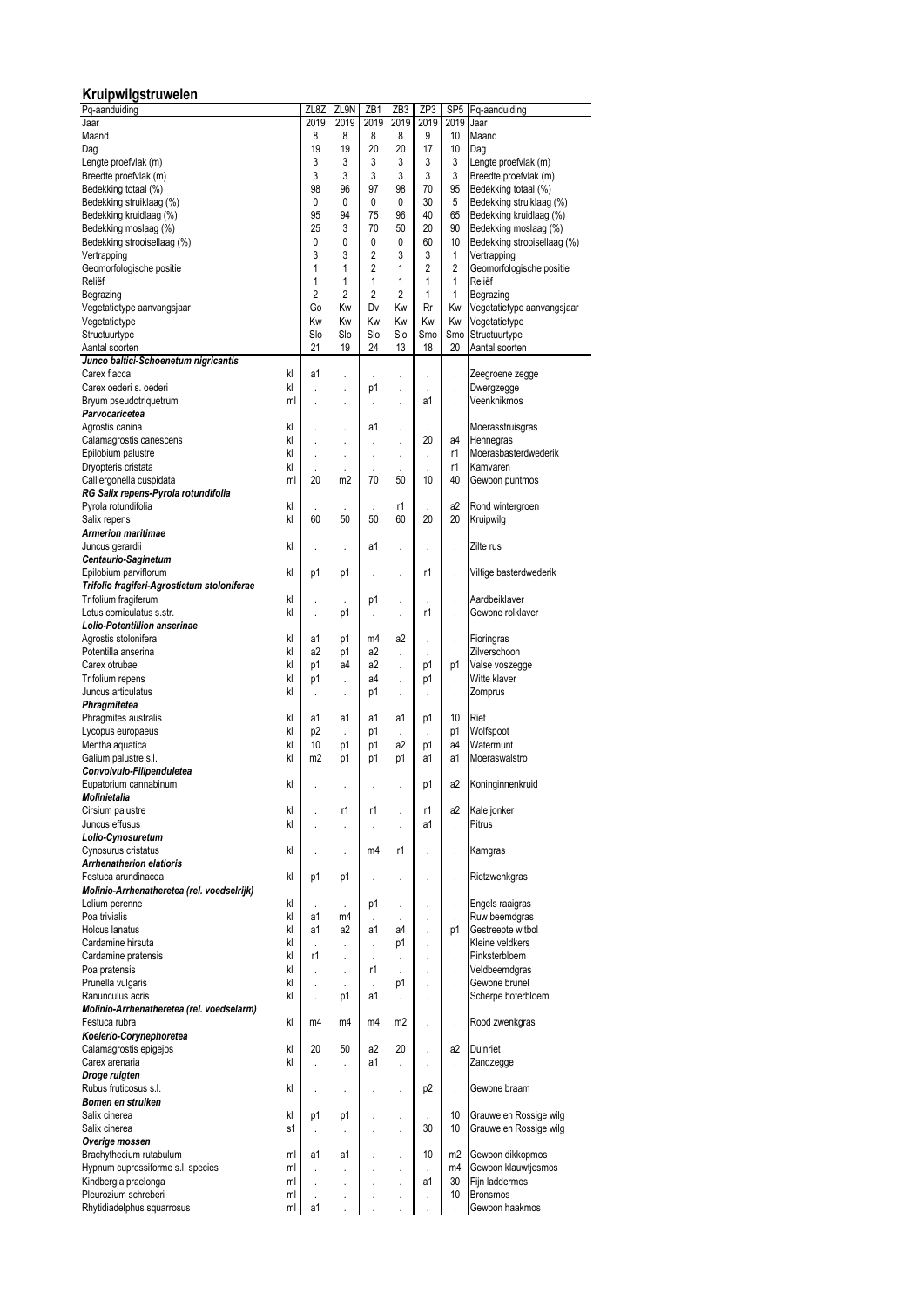### **Kruipwilgstruwelen**

| Pq-aanduiding                               |    | ZL8Z           | ZL9N           | ZB1            | ZB3                  | ZP3                  | SP <sub>5</sub>      | Pq-aanduiding               |
|---------------------------------------------|----|----------------|----------------|----------------|----------------------|----------------------|----------------------|-----------------------------|
| Jaar                                        |    | 2019           | 2019           | 2019           | 2019                 | 2019                 | 2019                 | Jaar                        |
| Maand                                       |    | 8              | 8              | 8              | 8                    | 9                    | 10                   | Maand                       |
| Daq                                         |    | 19             | 19             | 20             | 20                   | 17                   | 10                   | Dag                         |
|                                             |    |                |                |                |                      |                      |                      |                             |
| Lengte proefvlak (m)                        |    | 3              | 3              | 3              | 3                    | 3                    | 3                    | Lengte proefvlak (m)        |
| Breedte proefvlak (m)                       |    | 3              | 3              | 3              | 3                    | 3                    | 3                    | Breedte proefvlak (m)       |
| Bedekking totaal (%)                        |    | 98             | 96             | 97             | 98                   | 70                   | 95                   | Bedekking totaal (%)        |
| Bedekking struiklaag (%)                    |    | 0              | 0              | 0              | 0                    | 30                   | 5                    | Bedekking struiklaag (%)    |
| Bedekking kruidlaag (%)                     |    | 95             | 94             | 75             | 96                   | 40                   | 65                   | Bedekking kruidlaag (%)     |
| Bedekking moslaag (%)                       |    | 25             | 3              | 70             | 50                   | 20                   | 90                   | Bedekking moslaag (%)       |
| Bedekking strooisellaag (%)                 |    | 0              | 0              | 0              | 0                    | 60                   | 10                   | Bedekking strooisellaag (%) |
| Vertrapping                                 |    | 3              | 3              | 2              | 3                    | 3                    | 1                    | Vertrapping                 |
| Geomorfologische positie                    |    | 1              | 1              | $\overline{2}$ | 1                    | $\overline{2}$       | 2                    | Geomorfologische positie    |
| Reliëf                                      |    | 1              | 1              | 1              | 1                    | 1                    | 1                    | Reliëf                      |
|                                             |    | $\overline{c}$ | $\overline{2}$ | 2              | 2                    | 1                    | 1                    |                             |
| Begrazing                                   |    |                |                |                |                      |                      |                      | Begrazing                   |
| Vegetatietype aanvangsjaar                  |    | Go             | Kw             | Dv             | Kw                   | Rr                   | Kw                   | Vegetatietype aanvangsjaar  |
| Vegetatietype                               |    | Kw             | Kw             | Kw             | Kw                   | Kw                   | Kw                   | Vegetatietype               |
| Structuurtype                               |    | Slo            | Slo            | Slo            | Slo                  | Smo                  | Smo                  | Structuurtype               |
| Aantal soorten                              |    | 21             | 19             | 24             | 13                   | 18                   | 20                   | Aantal soorten              |
| Junco baltici-Schoenetum nigricantis        |    |                |                |                |                      |                      |                      |                             |
| Carex flacca                                | kl | a1             |                |                |                      |                      |                      | Zeegroene zegge             |
| Carex oederi s. oederi                      | kl |                |                | p1             |                      |                      |                      | Dwergzegge                  |
| Bryum pseudotriquetrum                      | ml |                |                | l,             |                      | a1                   |                      | Veenknikmos                 |
| Parvocaricetea                              |    | ï              |                |                | ä,                   |                      | $\ddot{\phantom{0}}$ |                             |
|                                             |    |                |                |                |                      |                      |                      |                             |
| Agrostis canina                             | kl |                |                | a1             | $\ddot{\phantom{0}}$ |                      | $\ddot{\phantom{0}}$ | Moerasstruisgras            |
| Calamagrostis canescens                     | kl |                | ä,             | ä,             | ä,                   | 20                   | a4                   | Hennegras                   |
| Epilobium palustre                          | kl | ï              | ä,             |                | ä,                   | ï                    | r1                   | Moerasbasterdwederik        |
| Dryopteris cristata                         | kl |                |                |                |                      |                      | r1                   | Kamvaren                    |
| Calliergonella cuspidata                    | ml | 20             | m <sub>2</sub> | 70             | 50                   | 10                   | 40                   | Gewoon puntmos              |
| RG Salix repens-Pyrola rotundifolia         |    |                |                |                |                      |                      |                      |                             |
| Pyrola rotundifolia                         | kl |                |                |                | r1                   |                      | a2                   | Rond wintergroen            |
| Salix repens                                | kl | 60             | 50             | 50             | 60                   | 20                   | 20                   | Kruipwilg                   |
| <b>Armerion maritimae</b>                   |    |                |                |                |                      |                      |                      |                             |
|                                             |    |                |                |                |                      |                      |                      | Zilte rus                   |
| Juncus gerardii                             | kl |                |                | a1             |                      |                      |                      |                             |
| Centaurio-Saginetum                         |    |                |                |                |                      |                      |                      |                             |
| Epilobium parviflorum                       | kl | p1             | p1             |                | ä,                   | r1                   | $\ddot{\phantom{0}}$ | Viltige basterdwederik      |
| Trifolio fragiferi-Agrostietum stoloniferae |    |                |                |                |                      |                      |                      |                             |
| Trifolium fragiferum                        | kl |                |                | p1             |                      |                      |                      | Aardbeiklaver               |
| Lotus corniculatus s.str.                   | kl | ï              | p1             |                |                      | r1                   | l.                   | Gewone rolklaver            |
| Lolio-Potentillion anserinae                |    |                |                |                |                      |                      |                      |                             |
| Agrostis stolonifera                        | kl | a1             | p1             | m4             | a2                   | ł,                   |                      | Fioringras                  |
| Potentilla anserina                         | kl | a2             | p1             | a2             | ł.                   |                      |                      | Zilverschoon                |
| Carex otrubae                               | kl | p1             | a4             | a2             |                      | ï<br>p1              | $\cdot$              | Valse voszegge              |
|                                             |    |                |                |                |                      |                      | p1                   |                             |
| Trifolium repens                            | kl | p1             | ï              | a4             | ÷.                   | p1                   | $\cdot$              | Witte klaver                |
| Juncus articulatus                          | kl | ï              | ï              | p1             | $\ddot{\phantom{0}}$ | $\cdot$              | $\ddot{\phantom{0}}$ | Zomprus                     |
| Phragmitetea                                |    |                |                |                |                      |                      |                      |                             |
| Phragmites australis                        | kl | a1             | a1             | a1             | a1                   | р1                   | 10                   | Riet                        |
| Lycopus europaeus                           | kl | p <sub>2</sub> | ï              | p1             | ł.                   | $\ddot{\phantom{0}}$ | p1                   | Wolfspoot                   |
| Mentha aquatica                             | kl | 10             | p1             | p1             | a2                   | р1                   | a4                   | Watermunt                   |
| Galium palustre s.l.                        | kl | m2             | p1             | p1             | p1                   | a1                   | a1                   | Moeraswalstro               |
| Convolvulo-Filipenduletea                   |    |                |                |                |                      |                      |                      |                             |
| Eupatorium cannabinum                       | kl |                |                |                |                      | p1                   | a2                   | Koninginnenkruid            |
|                                             |    |                |                |                |                      |                      |                      |                             |
| Molinietalia                                |    |                |                |                |                      |                      |                      |                             |
| Cirsium palustre                            | kl |                | r1             | r1             |                      | r1                   | a2                   | Kale jonker                 |
| Juncus effusus                              | kl |                | ï              |                | ä,                   | a1                   | l.                   | Pitrus                      |
| Lolio-Cynosuretum                           |    |                |                |                |                      |                      |                      |                             |
| Cynosurus cristatus                         | kl |                |                | m4             | r1                   | $\ddot{\phantom{0}}$ |                      | Kamgras                     |
| <b>Arrhenatherion elatioris</b>             |    |                |                |                |                      |                      |                      |                             |
| Festuca arundinacea                         | kl | p1             | p1             |                |                      | $\ddot{\phantom{0}}$ |                      | Rietzwenkgras               |
| Molinio-Arrhenatheretea (rel. voedselrijk)  |    |                |                |                |                      |                      |                      |                             |
| Lolium perenne                              | kl | ï              | ÷.             | p1             | $\ddot{\phantom{0}}$ |                      | ł,                   | Engels raaigras             |
| Poa trivialis                               | kl | a1             | m4             |                |                      | $\ddot{\phantom{0}}$ |                      | Ruw beemdgras               |
| Holcus lanatus                              | kl | a1             | a2             | a1             | a4                   |                      | p1                   | Gestreepte witbol           |
| Cardamine hirsuta                           | kl |                |                |                | p1                   |                      |                      | Kleine veldkers             |
|                                             |    | ï              | ä,             | ÷,             |                      | $\ddot{\phantom{0}}$ | $\ddot{\phantom{0}}$ |                             |
| Cardamine pratensis                         | kl | r1             |                |                |                      |                      | ï                    | Pinksterbloem               |
| Poa pratensis                               | kl | ï              |                | r1             |                      |                      |                      | Veldbeemdgras               |
| Prunella vulgaris                           | kl | ï              |                |                | p1                   |                      | $\cdot$              | Gewone brunel               |
| Ranunculus acris                            | kl | ï              | p1             | a1             | ł,                   |                      | ł.                   | Scherpe boterbloem          |
| Molinio-Arrhenatheretea (rel. voedselarm)   |    |                |                |                |                      |                      |                      |                             |
| Festuca rubra                               | kl | m4             | m4             | m4             | m <sub>2</sub>       |                      | ł.                   | Rood zwenkgras              |
| Koelerio-Corynephoretea                     |    |                |                |                |                      |                      |                      |                             |
| Calamagrostis epigejos                      | kl | 20             | 50             | a2             | 20                   |                      | a2                   | Duinriet                    |
|                                             |    |                |                |                |                      |                      |                      |                             |
| Carex arenaria                              | kl | ï              |                | a1             | ÷.                   | $\cdot$              | $\ddot{\phantom{0}}$ | Zandzegge                   |
| Droge ruigten                               |    |                |                |                |                      |                      |                      |                             |
| Rubus fruticosus s.l.                       | kl | ï              | ï              |                |                      | p2                   | $\ddot{\phantom{0}}$ | Gewone braam                |
| Bomen en struiken                           |    |                |                |                |                      |                      |                      |                             |
| Salix cinerea                               | kl | p1             | p1             |                |                      |                      | 10                   | Grauwe en Rossige wilg      |
| Salix cinerea                               | s1 |                |                |                |                      | 30                   | 10                   | Grauwe en Rossige wilg      |
| Overige mossen                              |    |                |                |                |                      |                      |                      |                             |
| Brachythecium rutabulum                     | ml | a1             | a1             |                |                      | 10                   | m <sub>2</sub>       | Gewoon dikkopmos            |
| Hypnum cupressiforme s.l. species           | ml |                |                |                |                      |                      | m4                   | Gewoon klauwtjesmos         |
| Kindbergia praelonga                        | ml |                |                |                |                      | a1                   | 30                   | Fijn laddermos              |
| Pleurozium schreberi                        | ml |                | ï              |                |                      |                      | 10                   | <b>Bronsmos</b>             |
|                                             |    |                | ï              |                | ä,                   |                      |                      |                             |
| Rhytidiadelphus squarrosus                  | ml | a1             |                |                |                      |                      |                      | Gewoon haakmos              |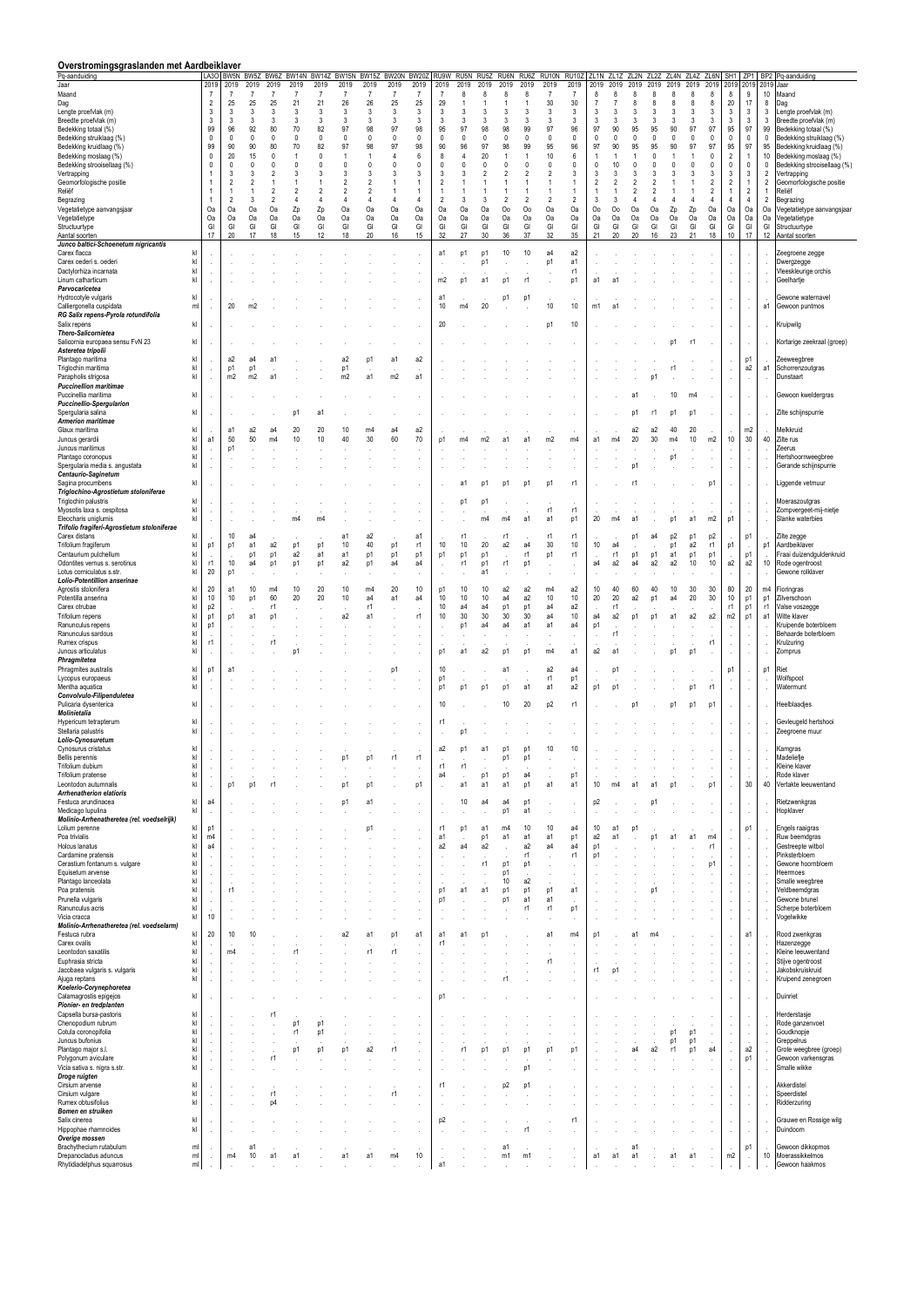| Overstromingsgraslanden met Aardbeiklaver                                                        |                                  |                      |                      |                             |                      |                      |                      |                      |                    |                     |                      |                     |                           |                                |                               |                      |                       |                     |                           |                              |                          |                            |                      |                             |                                   |                         |                                  |                                                       |
|--------------------------------------------------------------------------------------------------|----------------------------------|----------------------|----------------------|-----------------------------|----------------------|----------------------|----------------------|----------------------|--------------------|---------------------|----------------------|---------------------|---------------------------|--------------------------------|-------------------------------|----------------------|-----------------------|---------------------|---------------------------|------------------------------|--------------------------|----------------------------|----------------------|-----------------------------|-----------------------------------|-------------------------|----------------------------------|-------------------------------------------------------|
| Pq-aanduiding<br>Jaar                                                                            | 2019                             | LA3O BW5N<br>2019    | BW5Z<br>2019         | 2019                        | BW6Z BW14N<br>2019   | BW14Z<br>2019        | BW15N<br>2019        | BW15Z<br>2019        | BW20N<br>2019      | <b>BW20</b><br>2019 | RU9W<br>2019         | RU5N<br>2019        | RU <sub>5</sub> Z<br>2019 | RU6N<br>2019                   | RU6Z<br>2019                  | RU10N<br>2019        | <b>RU10Z</b><br>2019  | ZL1N<br>2019        | ZL <sub>1</sub> Z<br>2019 | ZL2N<br>2019                 | ZL2Z<br>2019             | ZL4N<br>2019               | ZL4Z<br>2019         | ZL6N<br>2019                | SH <sub>1</sub><br>2019           | ZP <sub>1</sub><br>2019 | BP <sub>2</sub><br>2019          | Pq-aanduiding<br>Jaar                                 |
| Maand<br>Dag                                                                                     | $\overline{7}$<br>$\overline{2}$ | $\overline{7}$<br>25 | $\overline{7}$<br>25 | $\overline{7}$<br>25        | $\overline{7}$<br>21 | $\overline{7}$<br>21 | $\overline{7}$<br>26 | 7<br>26              | 7<br>25            | 7<br>25             | $\overline{7}$<br>29 | 8                   | 8                         | 8                              | 8                             | $\overline{7}$<br>30 | $\overline{7}$<br>30  | 8<br>$\overline{7}$ | 8                         | 8<br>8                       | 8                        | 8<br>8                     | 8<br>8               | 8<br>8                      | 8<br>20                           | 9<br>17                 | 10<br>8                          | Maand<br>Dag                                          |
| Lengte proefvlak (m)<br>Breedte proefvlak (m)                                                    | 3<br>3                           | 3<br>3               | 3<br>3               | 3<br>3                      | 3<br>3               | 3<br>3               | 3<br>3               | 3<br>3               | 3<br>3             | 3<br>3              | 3<br>3               | 3<br>3              | 3<br>3                    | 3<br>3                         | 3<br>3                        | 3<br>3               | 3<br>3                | 3<br>3              | 3<br>3                    | 3<br>3                       | 3<br>3                   | 3<br>3                     | 3<br>3               | 3<br>3                      | 3<br>$\mathbf{3}$                 | 3<br>3                  | 3<br>3                           | Lengte proefvlak (m)<br>Breedte proefvlak (m)         |
| Bedekking totaal (%)                                                                             | 99                               | 96                   | 92                   | 80                          | 70                   | 82                   | 97                   | 98                   | 97                 | 98                  | 95                   | 97                  | 98                        | 98                             | 99                            | 97                   | 96                    | 97                  | 90                        | 95                           | 95                       | 90                         | 97                   | 97                          | 95                                | 97                      | 99                               | Bedekking totaal (%)                                  |
| Bedekking struiklaag (%)<br>Bedekking kruidlaag (%)                                              | $\Omega$<br>99                   | $\mathbf{0}$<br>90   | 0<br>90              | $\Omega$<br>80              | $\mathbf{0}$<br>70   | $\mathbf{0}$<br>82   | $\Omega$<br>97       | 0<br>98              | $\mathbf{0}$<br>97 | $\mathbf{0}$<br>98  | 0<br>90              | $\Omega$<br>96      | $\mathbf 0$<br>97         | $\mathbf{0}$<br>98             | $\mathbf 0$<br>99             | $\mathbf 0$<br>95    | $\mathbf 0$<br>96     | $\mathbf 0$<br>97   | $\mathbf{0}$<br>90        | 0<br>95                      | $\mathbf{0}$<br>95       | 0<br>90                    | $\mathbf 0$<br>97    | $\mathbf 0$<br>97           | $\mathbf 0$<br>95                 | 0<br>97                 | 0<br>95                          | Bedekking struiklaag (%)<br>Bedekking kruidlaag (%)   |
| Bedekking moslaag (%)<br>Bedekking strooisellaag (%)                                             | $\mathbf{0}$<br>$\Omega$         | 20<br>0              | 15<br>$\Omega$       | $\Omega$<br>$\Omega$        | 1<br>0               | $\mathbf{0}$<br>0    | 1<br>$\theta$        | -1<br>$\mathbf{0}$   | 4<br>$\Omega$      | 6<br>$\Omega$       | 8<br>0               | $\overline{4}$<br>0 | 20<br>0                   | $\overline{1}$<br>$\mathbf{0}$ | $\overline{1}$<br>$\mathbf 0$ | 10<br>$\mathbf 0$    | 6<br>$\theta$         | 1<br>0              | $\overline{1}$<br>10      | $\mathbf{1}$<br>$\mathbf{0}$ | $\mathbf{0}$<br>$\Omega$ | $\overline{1}$<br>$\Omega$ | $\mathbf{0}$         | $\mathbf{0}$<br>$\mathbf 0$ | $\overline{2}$<br>$\mathbf 0$     | $\mathbf 0$             | 10<br>0                          | Bedekking moslaag (%)<br>Bedekking strooisellaag (%)  |
| Vertrapping                                                                                      |                                  | 3<br>$\overline{2}$  | 3<br>$\overline{2}$  | $\overline{2}$              | 3                    | 3                    | 3<br>$\overline{2}$  | 3<br>$\overline{2}$  | 3                  | 3                   | 3<br>$\overline{2}$  | 3<br>$\overline{1}$ | $\overline{2}$            | $\overline{2}$                 | $\overline{2}$<br>-1          | $\overline{2}$<br>1  | 3                     | 3<br>$\overline{2}$ | 3<br>$\overline{2}$       | 3<br>$\overline{2}$          | 3                        | 3                          | 3                    | 3<br>$\overline{2}$         | $\mathbf{3}$<br>$\overline{2}$    | 3                       | $\overline{2}$<br>$\overline{2}$ | Vertrapping                                           |
| Geomorfologische positie<br>Reliëf                                                               |                                  | 1                    |                      | $\overline{2}$              | 2                    | 2                    | 2                    | 2                    |                    |                     |                      |                     |                           |                                | -1                            | 1                    |                       | 1                   |                           | $\overline{2}$               | $\overline{2}$           |                            |                      | $\overline{2}$              | $\overline{1}$                    | $\overline{2}$          | -1                               | Geomorfologische positie<br>Reliëf                    |
| Begrazing<br>Vegetatietype aanvangsjaar                                                          | Oa                               | $\overline{2}$<br>Oa | 3<br>Oa              | $\overline{2}$<br><b>Oa</b> | 4<br>Zp              | $\overline{4}$<br>Zp | 4<br>Oa              | 4<br><b>Oa</b>       | 4<br>Oa            | 4<br>Oa             | $\overline{2}$<br>Oa | 3<br>Oa             | 3<br>Oa                   | $\overline{2}$<br>Oo           | $\overline{2}$<br>Oo          | $\overline{2}$<br>Oa | $\overline{2}$<br>Oa  | 3<br>Oo             | 3<br>O <sub>o</sub>       | 4<br>Oa                      | Oa                       | 4<br>Zp                    | Zp                   | $\overline{4}$<br><b>Oa</b> | $\overline{4}$<br>Oa              | $\overline{4}$<br>Oa    | $\overline{2}$<br>Oa             | Begrazing<br>Vegetatietype aanvangsjaar               |
| Vegetatietype<br>Structuurtype                                                                   | Oa<br>GI                         | Oa<br>GI             | Oa<br>GI             | Oa<br>GI                    | <b>Oa</b><br>GI      | Oa<br>GI             | Oa<br>GI             | <b>Oa</b><br>GI      | Oa<br>GI           | Oa<br>GI            | Oa<br>GI             | Oa<br>GI            | Oa<br>GI                  | Oa<br>GI                       | Oa<br>GI                      | Oa<br>GI             | Oa<br>GI              | Oa<br>GI            | Oa<br>GI                  | Oa<br>GI                     | Oa<br>GI                 | Oa<br>GI                   | Oa<br>GI             | <b>Oa</b><br>GI             | Oa<br>GI                          | Oa<br>GI                | Oa<br>GI                         | Vegetatietype<br>Structuurtype                        |
| Aantal soorten                                                                                   | 17                               | 20                   | 17                   | 18                          | 15                   | 12                   | 18                   | 20                   | 16                 | 15                  | 32                   | 27                  | 30                        | 36                             | 37                            | 32                   | 35                    | 21                  | 20                        | 20                           | 16                       | 23                         | 21                   | 18                          | $10$                              | 17                      | 12                               | Aantal soorten                                        |
| Junco baltici-Schoenetum nigricantis<br>kl<br>Carex flacca                                       |                                  |                      |                      |                             |                      |                      |                      |                      |                    |                     | a1                   | p1                  | D                         | 10                             | 10                            | a4                   | a2                    |                     |                           |                              |                          |                            |                      |                             | $\blacksquare$                    |                         |                                  | Zeegroene zegge                                       |
| $\mathsf{kl}$<br>Carex oederi s. oederi<br>kl<br>Dactylorhiza incarnata                          |                                  |                      |                      |                             |                      |                      |                      |                      |                    |                     |                      |                     | p1                        |                                |                               | p1                   | a1<br>r1              |                     |                           |                              |                          |                            |                      |                             | $\bullet$                         |                         |                                  | Dwergzegge<br>Vleeskleurige orchis                    |
| kl<br>Linum catharticum<br>Parvocaricetea                                                        |                                  |                      |                      |                             |                      |                      |                      |                      |                    |                     | m <sub>2</sub>       | p1                  | a1                        | p1                             | r1                            |                      | p1                    | a1                  | a1                        |                              |                          |                            |                      |                             | ÷.                                |                         |                                  | Geelhartje                                            |
| k<br>Hydrocotyle vulgaris                                                                        |                                  |                      |                      |                             |                      |                      |                      |                      |                    |                     | a1                   |                     |                           | p1                             | p1                            |                      |                       |                     |                           |                              |                          |                            |                      |                             | $\bullet$                         |                         |                                  | Gewone waternavel                                     |
| Calliergonella cuspidata<br>ml<br>RG Salix repens-Pyrola rotundifolia                            |                                  | 20                   | m <sub>2</sub>       |                             |                      |                      |                      |                      |                    |                     | 10                   | m4                  | 20                        |                                |                               | 10                   | 10                    | m1                  | a1                        |                              |                          |                            |                      |                             |                                   |                         | a1                               | Gewoon puntmos                                        |
| Salix repens<br>kl<br><b>Thero-Salicornietea</b>                                                 |                                  |                      |                      |                             |                      |                      |                      |                      |                    |                     | 20                   |                     |                           |                                |                               | p1                   | 10                    |                     |                           |                              |                          |                            |                      |                             | $\epsilon$                        |                         |                                  | Kruipwilg                                             |
| kl<br>Salicornia europaea sensu FvN 23<br>Asteretea tripolii                                     |                                  |                      |                      |                             |                      |                      |                      |                      |                    |                     |                      |                     |                           |                                |                               |                      |                       |                     |                           |                              |                          | p1                         | r1                   |                             | $\cdot$                           |                         |                                  | Kortarige zeekraal (groep)                            |
| kl<br>Plantago maritima                                                                          |                                  | a2                   | a                    | a1                          |                      |                      | a2                   | p1                   | a1                 | a2                  |                      |                     |                           |                                |                               |                      |                       |                     |                           |                              |                          |                            |                      |                             | $\bullet$                         | p1                      |                                  | Zeeweegbree                                           |
| k<br>Triglochin maritima<br>k<br>Parapholis strigosa                                             |                                  | p1<br>m <sub>2</sub> | p1<br>m <sub>2</sub> | a1                          |                      |                      | p1<br>m <sub>2</sub> | a1                   | m2                 | a1                  |                      |                     |                           |                                |                               |                      |                       |                     |                           |                              | p1                       | r1                         |                      |                             | $\bullet$<br>$\bullet$            | a2                      | a1                               | Schorrenzoutgras<br>Dunstaart                         |
| <b>Puccinellion maritimae</b><br>kl<br>Puccinellia maritima                                      |                                  |                      |                      |                             |                      |                      |                      |                      |                    |                     |                      |                     |                           |                                |                               |                      |                       |                     |                           | a1                           |                          | 10                         | m4                   |                             | $\cdot$                           |                         |                                  | Gewoon kweldergras                                    |
| <b>Puccinellio-Spergularion</b>                                                                  |                                  |                      |                      |                             |                      |                      |                      |                      |                    |                     |                      |                     |                           |                                |                               |                      |                       |                     |                           |                              |                          |                            |                      |                             |                                   |                         |                                  |                                                       |
| kl<br>Spergularia salina<br><b>Armerion maritimae</b>                                            |                                  |                      |                      |                             | p1                   | a1                   |                      |                      |                    |                     |                      |                     |                           |                                |                               |                      |                       |                     |                           | p1                           | r1                       | p1                         | p1                   |                             | ÷.                                |                         |                                  | Zilte schijnspurrie                                   |
| k<br>Glaux maritima<br>kl<br>Juncus gerardii                                                     | a1                               | a1<br>50             | a2<br>50             | a4<br>m4                    | 20<br>10             | 20<br>10             | 10<br>40             | m4<br>30             | a4<br>60           | a2<br>70            | p1                   | m4                  | m2                        | a1                             | a1                            | m <sub>2</sub>       | m4                    | a1                  | m4                        | a2<br>20                     | a2<br>30                 | 40<br>m4                   | 20<br>10             | m <sub>2</sub>              | 10                                | m <sub>2</sub><br>30    | 40                               | Melkkruid<br>Zilte rus                                |
| k<br>Juncus maritimus<br>k<br>Plantago coronopus                                                 |                                  | p1                   |                      |                             |                      |                      |                      |                      |                    |                     |                      |                     |                           |                                |                               |                      |                       |                     |                           |                              |                          | p1                         |                      |                             |                                   |                         |                                  | Zeerus<br>Hertshoornweegbree                          |
| k<br>Spergularia media s. angustata                                                              |                                  |                      |                      |                             |                      |                      |                      |                      |                    |                     |                      |                     |                           |                                |                               |                      |                       |                     |                           | p1                           |                          |                            |                      |                             | $\blacksquare$<br>$\blacksquare$  |                         |                                  | Gerande schijnspurrie                                 |
| Centaurio-Saginetum<br>kl<br>Sagina procumbens                                                   |                                  |                      |                      |                             |                      |                      |                      |                      |                    |                     |                      | a                   | D.                        | p1                             | p1                            | D'                   | r1                    |                     |                           | r1                           |                          |                            |                      | p1                          | $\bullet$                         |                         |                                  | Liggende vetmuur                                      |
| Triglochino-Agrostietum stoloniferae<br>k<br>Triglochin palustris                                |                                  |                      |                      |                             |                      |                      |                      |                      |                    |                     |                      | p1                  | p                         |                                |                               |                      |                       |                     |                           |                              |                          |                            |                      |                             |                                   |                         |                                  | Moeraszoutgras                                        |
| k<br>Myosotis laxa s. cespitosa                                                                  |                                  |                      |                      |                             |                      |                      |                      |                      |                    |                     |                      |                     |                           |                                |                               | r1                   | r1                    |                     |                           |                              |                          |                            |                      |                             |                                   |                         |                                  | Zompvergeet-mij-nietje                                |
| Eleocharis uniglumis<br>kl<br>Trifolio fragiferi-Agrostietum stoloniferae                        |                                  |                      |                      |                             | m4                   | m4                   |                      |                      |                    |                     |                      |                     | m4                        | m4                             | a1                            | a1                   | p1                    | 20                  | m4                        | a1                           |                          | p1                         | a1                   | m2                          | p1                                |                         |                                  | Slanke waterbies                                      |
| kl<br>Carex distans<br>kl<br>Trifolium fragiferum                                                | p1                               | 10<br>p1             | a4<br>a1             | a2                          | p1                   | p1                   | a1<br>10             | a2<br>40             | p1                 | a1<br>r1            | 10                   | -r1<br>10           | 20                        | r1<br>a2                       | a4                            | r1<br>30             | r1<br>10 <sup>°</sup> | 10                  | a4                        | p1                           | a4                       | p2<br>p1                   | p1<br>a2             | p2<br>r1                    | $\cdot$<br>p1                     | p1                      | p1                               | Zilte zegge<br>Aardbeiklaver                          |
| Centaurium pulchellum<br>kl<br>$\mathsf{kl}$<br>Odontites vernus s. serotinus                    | r1                               | 10                   | p1<br>a4             | p1<br>p1                    | a2<br>p1             | a1<br>p1             | a1<br>a2             | p1<br>p1             | p1<br>a4           | p1<br>a4            | p1                   | p1<br>r1            | p<br>p1                   | r1                             | r1<br>p1                      | p1                   | r1                    | a4                  | r1<br>a2                  | p1<br>a4                     | p1<br>a2                 | a1<br>a2                   | p1<br>10             | p1<br>$10$                  | a2                                | p1<br>a2                | 10                               | Fraai duizendguldenkruid<br>Rode ogentroost           |
| Lotus corniculatus s.str<br>kl                                                                   | 20                               | p1                   |                      |                             |                      |                      |                      |                      |                    |                     | $\cdot$              |                     | a1                        |                                |                               |                      |                       |                     |                           |                              |                          |                            |                      |                             | $\bullet$                         |                         |                                  | Gewone rolklaver                                      |
| Lolio-Potentillion anserinae<br>$\mathsf{kl}$<br>Agrostis stolonifera                            | 20                               | a1                   | 10                   | m4                          | 10                   | 20                   | 10                   | m4                   | 20                 | 10                  | p1                   | 10                  | 10                        | a2                             | a2                            | m4                   | a2                    | 10                  | 40                        | 60                           | Δſ                       | 10                         | 30                   | 30                          | 80                                | 20                      | m4                               | Fioringras                                            |
| Potentilla anserina<br>kl<br>Carex otrubae<br>kl                                                 | 10<br>p <sub>2</sub>             | 10                   | p1                   | 60<br>r1                    | 20                   | 20                   | 10                   | a <sub>4</sub><br>r1 | a1                 | a4                  | 10<br>10             | 10<br>a4            | 10<br>a4                  | a <sub>4</sub><br>p1           | a2<br>p1                      | 10<br>a <sub>4</sub> | 10<br>a2              | 20                  | 20<br>r1                  | a2                           | p1                       | a <sub>4</sub>             | 20                   | 30                          | $10$<br>r1                        | p1<br>p1                | p1<br>r1                         | Zilverschoon<br>Valse voszegge                        |
| $\mathsf{kl}$<br>Trifolium repens<br>k<br>Ranunculus repens                                      | p1<br>p1                         | p1                   | a1                   | p1                          |                      |                      | a2                   | a1                   |                    | r1                  | 10                   | 30<br>p1            | 30<br>a4                  | 30<br>a <sub>4</sub>           | 30<br>a1                      | a4<br>a1             | $10$<br>a4            | a4<br>p1            | a2                        | p1                           | p1                       | a1                         | a2                   | a2                          | m <sub>2</sub>                    | p1                      | a1                               | Witte klaver<br>Kruipende boterbloem                  |
| $\mathsf{k}$<br>Ranunculus sardous                                                               |                                  |                      |                      |                             |                      |                      |                      |                      |                    |                     |                      |                     |                           |                                |                               |                      |                       |                     | r1                        |                              |                          |                            |                      |                             | $\blacksquare$                    |                         |                                  | Behaarde boterbloem                                   |
| $\mathsf{kl}$<br>Rumex crispus<br>Juncus articulatus<br>kl                                       | r1                               |                      |                      | r1                          | D'                   |                      |                      |                      |                    |                     | p1                   | a1                  | a2                        | p <sub>1</sub>                 | p1                            | m4                   | a1                    | $\cdot$<br>a2       | a1                        |                              |                          | p1                         | p1                   | r1                          | ٠<br>×.                           |                         |                                  | Krulzuring<br>Zomprus                                 |
| Phragmitetea<br>$\mathsf{kl}$<br>Phragmites australis                                            | p1                               | a1                   |                      |                             |                      |                      |                      |                      | p1                 |                     | 10                   |                     |                           | a1                             |                               | a2                   | a4                    |                     | p1                        |                              |                          |                            |                      |                             | p1                                |                         | p1                               | Riet                                                  |
| $\mathsf{k}$<br>Lycopus europaeus<br>kl                                                          |                                  |                      |                      |                             |                      |                      |                      |                      |                    |                     | p1                   |                     |                           |                                |                               | r1                   | p1                    |                     | p1                        |                              |                          |                            |                      | r1                          |                                   |                         |                                  | Wolfspoot                                             |
| Mentha aquatica<br>Convolvulo-Filipenduletea                                                     |                                  |                      |                      |                             |                      |                      |                      |                      |                    |                     | p1                   | p1                  | p1                        | p1                             | a1                            | a1                   | a2                    | p1                  |                           |                              |                          |                            | p1                   |                             | $\bullet$                         |                         |                                  | Watermunt                                             |
| kl<br>Pulicaria dysenterica<br>Molinietalia                                                      |                                  |                      |                      |                             |                      |                      |                      |                      |                    |                     | 10                   |                     |                           | 10                             | 20                            | p <sub>2</sub>       | r1                    |                     |                           | p1                           |                          | p1                         | p1                   | p1                          | $\epsilon$                        |                         |                                  | Heelblaadjes                                          |
| kl<br>Hypericum tetrapterum<br>kl<br>Stellaria palustris                                         |                                  |                      |                      |                             |                      |                      |                      |                      |                    |                     | r1                   | p1                  |                           |                                |                               |                      |                       |                     |                           |                              |                          |                            |                      |                             | $\cdot$                           |                         |                                  | Gevleugeld hertshooi<br>Zeegroene muur                |
| Lolio-Cynosuretum                                                                                |                                  |                      |                      |                             |                      |                      |                      |                      |                    |                     |                      |                     |                           |                                |                               |                      |                       |                     |                           |                              |                          |                            |                      |                             | $\epsilon$                        | $\sim$                  |                                  |                                                       |
| kl<br>Cynosurus cristatus<br>$\mathsf{k}$<br>Bellis perennis                                     |                                  |                      |                      |                             |                      |                      | p1                   | p1                   | r1                 | r1                  | a2                   | p1                  | a                         | p1<br>p1                       | p1<br>p1                      | 10                   | 10                    |                     |                           |                              |                          |                            |                      |                             | ÷,<br>٠                           |                         |                                  | Kamgras<br>Madeliefje                                 |
| Trifolium dubium<br>k<br>kl<br>Trifolium pratense                                                |                                  |                      |                      |                             |                      |                      |                      |                      |                    |                     | r1<br>a <sub>4</sub> | r1                  | p1                        | p1                             | a4                            |                      | p1                    |                     |                           |                              |                          |                            |                      |                             | $\cdot$                           |                         |                                  | Kleine klaver<br>Rode klaver                          |
| $\mathsf{k}$<br>Leontodon autumnalis<br>Arrhenatherion elatioris                                 |                                  | p1                   | D'                   | r1                          |                      |                      | p1                   | p1                   |                    | p1                  |                      | a1                  | a1                        | a1                             | p1                            | a1                   | a1                    | 10                  | m4                        | a1                           | a                        | p1                         |                      | p1                          |                                   | 30                      | 40                               | Vertakte leeuwentand                                  |
| Festuca arundinacea<br>kl                                                                        | a4                               |                      |                      |                             |                      |                      | p1                   | a1                   |                    |                     |                      | 10                  | a4                        | a4                             | p1                            |                      |                       | p <sub>2</sub>      |                           |                              | p1                       |                            |                      |                             | $\cdot$                           |                         |                                  | Rietzwenkgras                                         |
| kl<br>Medicago lupulina<br>Molinio-Arrhenatheretea (rel. voedselrijk)                            |                                  |                      |                      |                             |                      |                      |                      |                      |                    |                     |                      |                     |                           | p1                             | a1                            |                      |                       |                     |                           |                              |                          |                            |                      |                             | $\epsilon$                        |                         |                                  | Hopklaver                                             |
| $\mathsf{kl}$<br>Lolium perenne<br>$\mathsf{kl}$<br>Poa trivialis                                | p1<br>m4                         |                      |                      |                             |                      |                      |                      | p1                   |                    |                     | r1<br>a1             | D <sup>1</sup>      | a<br>p1                   | m<br>a1                        | 10<br>a1                      | 10<br>a1             | a4<br>p1              | 10<br>a2            | a.<br>a'                  | ŋ1                           | D1                       | a1                         | a1                   | m4                          | ٠                                 | p1                      |                                  | Engels raaigras<br>Ruw beemdgras                      |
| $\mathsf{k}$<br>Holcus lanatus<br>k<br>Cardamine pratensis                                       | a4                               |                      |                      |                             |                      |                      |                      |                      |                    |                     | a2                   | a4                  | a2                        |                                | a2<br>r1                      | a4                   | a4<br>r1              | p1<br>p1            |                           |                              |                          |                            |                      | r1                          |                                   |                         |                                  | Gestreepte witbol<br>Pinksterbloem                    |
| Cerastium fontanum s. vulgare<br>k                                                               |                                  |                      |                      |                             |                      |                      |                      |                      |                    |                     |                      |                     | r1                        | p1                             | p1                            |                      |                       |                     |                           |                              |                          |                            |                      | p1                          |                                   |                         |                                  | Gewone hoornbloem                                     |
| k<br>Equisetum arvense<br>Plantago lanceolata<br>k                                               |                                  |                      |                      |                             |                      |                      |                      |                      |                    |                     |                      |                     |                           | p1<br>10                       | a2                            |                      |                       |                     |                           |                              |                          |                            |                      |                             | $\blacksquare$<br>٠               |                         |                                  | Heermoes<br>Smalle weegbree                           |
| Poa pratensis<br>k<br>$\mathsf{k}$<br>Prunella vulgaris                                          |                                  | r1                   |                      |                             |                      |                      |                      |                      |                    |                     | p1<br>p1             | a1                  | a1                        | p1<br>p1                       | p1<br>a1                      | p1<br>a1             | a1                    |                     |                           |                              |                          |                            |                      |                             |                                   |                         |                                  | Veldbeemdgras<br>Gewone brunel                        |
| k<br>Ranunculus acris                                                                            |                                  |                      |                      |                             |                      |                      |                      |                      |                    |                     |                      |                     |                           |                                | r1                            | r1                   | p1                    |                     |                           |                              |                          |                            |                      |                             | ٠                                 |                         |                                  | Scherpe boterbloem                                    |
| $\mathsf{kl}$<br>Vicia cracca<br>Molinio-Arrhenatheretea (rel. voedselarm)                       | 10                               |                      |                      |                             |                      |                      |                      |                      |                    |                     |                      |                     |                           |                                |                               |                      |                       |                     |                           |                              |                          |                            |                      |                             | ×.                                |                         |                                  | Vogelwikke                                            |
| kl<br>Festuca rubra<br>$\mathsf{kl}$<br>Carex ovalis                                             | 20                               | 10                   |                      |                             |                      |                      | a2                   | a1                   | p1                 | a1                  | a1<br>r1             |                     |                           |                                |                               | a1                   | m4                    | p1                  |                           | a1                           |                          |                            |                      |                             | $\bullet$                         | a1                      |                                  | Rood zwenkgras<br>Hazenzegge                          |
| $\mathsf{kl}$<br>Leontodon saxatilis<br>k<br>Euphrasia stricta                                   |                                  | m4                   |                      |                             |                      |                      |                      | r1                   | r1                 |                     |                      |                     |                           |                                |                               | r1                   | ٠                     |                     |                           |                              |                          |                            |                      |                             | $\bullet$                         |                         |                                  | Kleine leeuwentand<br>Stijve ogentroost               |
| $\mathsf{k}$<br>Jacobaea vulgaris s. vulgaris                                                    |                                  |                      |                      |                             |                      |                      |                      |                      |                    |                     |                      |                     |                           |                                |                               |                      |                       | r1                  | D1                        |                              |                          |                            |                      |                             | ×.                                |                         |                                  | Jakobskruiskruid                                      |
| kl<br>Ajuga reptans<br>Koelerio-Corynephoretea                                                   |                                  |                      |                      |                             |                      |                      |                      |                      |                    |                     |                      |                     |                           | r1                             |                               |                      |                       |                     |                           |                              |                          |                            |                      |                             | $\bullet$                         |                         |                                  | Kruipend zenegroen                                    |
| kl<br>Calamagrostis epigejos<br>Pionier- en tredplanten                                          |                                  |                      |                      |                             |                      |                      |                      |                      |                    |                     | p1                   |                     |                           |                                |                               |                      |                       |                     |                           |                              |                          |                            |                      |                             | $\sim$                            |                         |                                  | Duinriet                                              |
| Capsella bursa-pastoris<br>kl<br>Chenopodium rubrum<br>kl                                        |                                  |                      |                      | r1                          | p1                   | p1                   |                      |                      |                    |                     |                      |                     |                           |                                |                               |                      |                       |                     |                           |                              |                          |                            |                      |                             |                                   |                         |                                  | Herderstasje<br>Rode ganzenvoet                       |
| Cotula coronopifolia<br>kl                                                                       |                                  |                      |                      |                             | r1                   | p1                   |                      |                      |                    |                     |                      |                     |                           |                                |                               |                      |                       |                     |                           |                              |                          | p1                         | p1                   | $\mathbf{r}$                | $\sim$                            |                         |                                  | Goudknopje                                            |
| $\mathbf{k}$<br>Juncus bufonius<br>$\mathsf{kl}$<br>Plantago major s.l.                          |                                  |                      |                      |                             | p1                   | p1                   | p1                   | a2                   | r1                 |                     |                      | r1                  | p1                        | p1                             | p1                            | p1                   | p1                    |                     |                           | a4                           | a2                       | p1<br>r1                   | p1<br>p1             | a4                          | $\bullet$                         | a2                      |                                  | Greppelrus<br>Grote weegbree (groep)                  |
| Polygonum aviculare<br>kl<br>kl<br>Vicia sativa s. nigra s.str.                                  | $\epsilon$                       |                      |                      | r1                          |                      |                      |                      |                      |                    |                     |                      |                     |                           |                                | р1                            |                      |                       | $\bullet$           |                           |                              |                          |                            |                      | $\cdot$                     | $\bullet$<br>$\epsilon$           | p1                      |                                  | Gewoon varkensgras<br>Smalle wikke                    |
| Droge ruigten                                                                                    |                                  |                      |                      |                             |                      |                      |                      |                      |                    |                     |                      |                     |                           |                                |                               |                      |                       |                     |                           |                              |                          |                            |                      |                             |                                   |                         |                                  |                                                       |
| kl<br>Cirsium arvense<br>kl<br>Cirsium vulgare                                                   |                                  | ÷.                   |                      | r1                          |                      |                      |                      |                      | r1                 |                     | r1                   |                     |                           | p <sub>2</sub>                 | p1                            |                      |                       |                     |                           |                              |                          |                            |                      | $\cdot$                     | $\bullet$<br>$\ddot{\phantom{a}}$ |                         |                                  | Akkerdistel<br>Speerdistel                            |
| Rumex obtusifolius<br>kl<br>Bomen en struiken                                                    |                                  |                      |                      | p4                          |                      |                      |                      |                      |                    |                     |                      |                     |                           |                                |                               |                      |                       |                     |                           |                              |                          |                            |                      |                             | $\cdot$                           |                         |                                  | Ridderzuring                                          |
| $\mathsf{kl}$<br>Salix cinerea<br>Hippophae rhamnoides<br>$\mathsf{kl}$                          |                                  |                      |                      |                             |                      |                      |                      |                      |                    |                     | p <sub>2</sub>       |                     |                           |                                | r1                            |                      | r1                    |                     |                           |                              |                          |                            |                      | $\cdot$                     | $\cdot$                           |                         |                                  | Grauwe en Rossige wilg<br>Duindoorn                   |
| Overige mossen                                                                                   |                                  |                      |                      |                             |                      |                      |                      |                      |                    |                     |                      |                     |                           |                                |                               |                      |                       |                     |                           |                              |                          |                            |                      |                             | $\epsilon$                        |                         |                                  |                                                       |
| Brachythecium rutabulum<br>ml<br>Drepanocladus aduncus<br>ml<br>Rhytidiadelphus squarrosus<br>ml |                                  | $\lambda$<br>m4      | a1<br>10             | a1                          | a1                   |                      | a1                   | a1                   | m4                 | 10                  | a1                   |                     |                           | a1<br>m1                       | m1                            |                      |                       | a1                  | a1                        | a1<br>a1                     |                          | a1                         | $\blacksquare$<br>a1 |                             | $\sim$<br>m2                      | p1                      | 10                               | Gewoon dikkopmos<br>Moerassikkelmos<br>Gewoon haakmos |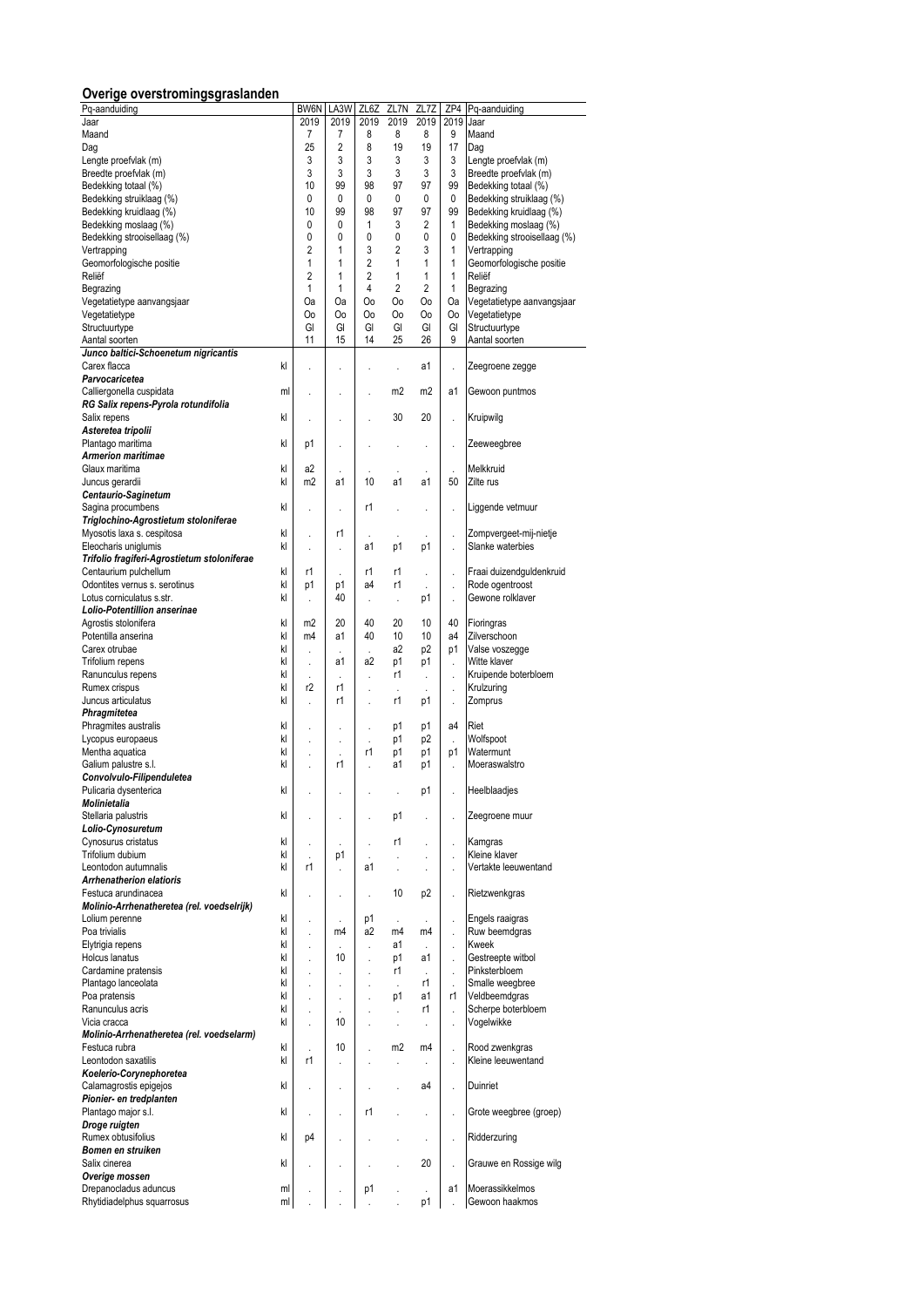# **Overige overstromingsgraslanden**

| Pq-aanduiding                                       |    | BW6N                 | LA3W           | ZL6Z           | ZL7N           | ZL7Z           | ZP4                  | Pq-aanduiding                                    |
|-----------------------------------------------------|----|----------------------|----------------|----------------|----------------|----------------|----------------------|--------------------------------------------------|
| Jaar                                                |    | 2019                 | 2019           | 2019           | 2019           | 2019           | 2019                 | Jaar                                             |
| Maand                                               |    | 7                    | 7              | 8              | 8              | 8              | 9                    | Maand                                            |
| Dag                                                 |    | 25                   | 2              | 8              | 19             | 19             | 17                   | Daq                                              |
| Lengte proefvlak (m)                                |    | 3                    | 3              | 3              | 3              | 3              | 3                    | Lengte proefvlak (m)                             |
| Breedte proefvlak (m)                               |    | 3<br>10              | 3<br>99        | 3<br>98        | 3              | 3              | 3                    | Breedte proefvlak (m)                            |
| Bedekking totaal (%)                                |    | 0                    | 0              | 0              | 97<br>0        | 97<br>0        | 99<br>0              | Bedekking totaal (%)                             |
| Bedekking struiklaag (%)<br>Bedekking kruidlaag (%) |    | 10                   | 99             | 98             | 97             | 97             | 99                   | Bedekking struiklaag (%)                         |
| Bedekking moslaag (%)                               |    | 0                    | 0              | 1              | 3              | 2              | 1                    | Bedekking kruidlaag (%)<br>Bedekking moslaag (%) |
| Bedekking strooisellaag (%)                         |    | 0                    | 0              | 0              | 0              | 0              | 0                    | Bedekking strooisellaag (%)                      |
| Vertrapping                                         |    | $\overline{2}$       | 1              | 3              | $\overline{2}$ | 3              | $\mathbf{1}$         | Vertrapping                                      |
| Geomorfologische positie                            |    | 1                    | 1              | $\overline{2}$ | 1              | 1              | $\mathbf{1}$         | Geomorfologische positie                         |
| Reliëf                                              |    | 2                    | 1              | 2              | 1              | 1              | 1                    | Reliëf                                           |
| Begrazing                                           |    | $\mathbf{1}$         | 1              | 4              | $\overline{2}$ | $\overline{2}$ | $\mathbf{1}$         | Begrazing                                        |
| Vegetatietype aanvangsjaar                          |    | Oa                   | <b>Oa</b>      | Oo             | Oo             | Oo             | Oa                   | Vegetatietype aanvangsjaar                       |
| Vegetatietype                                       |    | Oo                   | Oo             | Oo             | Oo             | Oo             | 0o                   | Vegetatietype                                    |
| Structuurtype                                       |    | GI                   | GI             | GI             | GI             | GI             | GI                   | Structuurtype                                    |
| Aantal soorten                                      |    | 11                   | 15             | 14             | 25             | 26             | 9                    | Aantal soorten                                   |
| Junco baltici-Schoenetum nigricantis                |    |                      |                |                |                |                |                      |                                                  |
| Carex flacca                                        | kl |                      |                |                | l,             | a1             |                      | Zeegroene zegge                                  |
| Parvocaricetea                                      |    |                      |                |                |                |                |                      |                                                  |
| Calliergonella cuspidata                            | ml | ł,                   | ï              |                | m <sub>2</sub> | m <sub>2</sub> | a1                   | Gewoon puntmos                                   |
| RG Salix repens-Pyrola rotundifolia                 |    |                      |                |                |                |                |                      |                                                  |
| Salix repens                                        | kl | ï                    | ï              |                | 30             | 20             | $\ddot{\phantom{a}}$ | Kruipwilg                                        |
| Asteretea tripolii                                  |    |                      |                |                |                |                |                      |                                                  |
| Plantago maritima                                   | kl | p1                   |                |                |                |                |                      | Zeeweegbree                                      |
| <b>Armerion maritimae</b>                           |    |                      |                |                |                |                |                      |                                                  |
| Glaux maritima                                      | kl | a2                   |                |                |                |                | ÷,                   | Melkkruid                                        |
| Juncus gerardii                                     | kl | m <sub>2</sub>       | a1             | 10             | a1             | a1             | 50                   | Zilte rus                                        |
| Centaurio-Saginetum                                 |    |                      |                |                |                |                |                      |                                                  |
| Sagina procumbens                                   | kl | $\ddot{\phantom{0}}$ |                | r1             |                |                |                      | Liggende vetmuur                                 |
| Triglochino-Agrostietum stoloniferae                |    |                      |                |                |                |                |                      |                                                  |
| Myosotis laxa s. cespitosa                          | kl | ł,                   | r1             | ä,             |                |                |                      | Zompvergeet-mij-nietje                           |
| Eleocharis uniglumis                                | kl | $\ddot{\phantom{0}}$ | l,             | a1             | p1             | p1             | l,                   | Slanke waterbies                                 |
| Trifolio fragiferi-Agrostietum stoloniferae         |    |                      |                |                |                |                |                      |                                                  |
| Centaurium pulchellum                               | kl | r1                   | J.             | r1             | r1             |                | ł,                   | Fraai duizendguldenkruid                         |
| Odontites vernus s. serotinus                       | kl | p1                   | p1             | a4             | r1             |                |                      | Rode ogentroost                                  |
| Lotus corniculatus s.str.                           | kl |                      | 40             | ä,             | ł,             | p1             | $\ddot{\phantom{0}}$ | Gewone rolklaver                                 |
| Lolio-Potentillion anserinae                        |    |                      |                |                |                |                |                      |                                                  |
| Agrostis stolonifera                                | kl | m <sub>2</sub>       | 20             | 40             | 20             | 10             | 40                   | Fioringras                                       |
| Potentilla anserina                                 | kl | m4                   | a1             | 40             | 10             | 10             | a4                   | Zilverschoon                                     |
| Carex otrubae                                       | kl | $\ddot{\phantom{a}}$ |                |                | a2             | p <sub>2</sub> | p1                   | Valse voszegge                                   |
| Trifolium repens                                    | kl | $\cdot$              | a1             | a2             | p1             | р1             | $\ddot{\phantom{a}}$ | Witte klaver                                     |
| Ranunculus repens                                   | kl |                      |                | ł.             | r1             | J.             |                      | Kruipende boterbloem                             |
| Rumex crispus                                       | kl | r2                   | r1             |                |                |                |                      | Krulzuring                                       |
| Juncus articulatus                                  | kl | $\ddot{\phantom{0}}$ | r1             |                | r1             | p1             | $\ddot{\phantom{0}}$ | Zomprus                                          |
| Phragmitetea                                        |    |                      |                |                |                |                |                      |                                                  |
| Phragmites australis                                | kl | $\ddot{\phantom{0}}$ |                |                | p1             | p1             | a4                   | Riet                                             |
| Lycopus europaeus                                   | kl | ï                    | ä,             |                | p1             | p2             |                      | Wolfspoot                                        |
| Mentha aquatica                                     | kl | ł,                   |                | r1             | p1             | p1             | p1                   | Watermunt                                        |
| Galium palustre s.l.                                | kl | ï                    | r1             |                | a1             | р1             | l,                   | Moeraswalstro                                    |
| Convolvulo-Filipenduletea                           |    |                      |                |                |                |                |                      |                                                  |
| Pulicaria dysenterica<br>Molinietalia               | kl |                      | ł.             |                | ł.             | p1             |                      | Heelblaadjes                                     |
|                                                     |    |                      |                |                |                |                |                      |                                                  |
| Stellaria palustris<br>Lolio-Cynosuretum            | kl |                      |                |                | p1             | l,             | ï                    | Zeegroene muur                                   |
|                                                     | kl |                      |                |                | r1             |                |                      |                                                  |
| Cynosurus cristatus<br>Trifolium dubium             | kl | $\ddot{\phantom{a}}$ | p1             |                |                | l,             | $\ddot{\phantom{a}}$ | Kamgras<br>Kleine klaver                         |
| Leontodon autumnalis                                | kl | r1                   |                | a1             | ä,             |                |                      | Vertakte leeuwentand                             |
| <b>Arrhenatherion elatioris</b>                     |    |                      | ł.             |                | ä,             |                |                      |                                                  |
| Festuca arundinacea                                 | kl | ł.                   | l,             |                | 10             | p <sub>2</sub> | ł,                   | Rietzwenkgras                                    |
| Molinio-Arrhenatheretea (rel. voedselrijk)          |    |                      |                |                |                |                |                      |                                                  |
| Lolium perenne                                      | kl | $\ddot{\phantom{0}}$ |                | p1             | ÷.             | ä,             | ÷.                   | Engels raaigras                                  |
| Poa trivialis                                       | kl | l,                   | m <sub>4</sub> | a2             | m4             | m4             |                      | Ruw beemdgras                                    |
| Elytrigia repens                                    | kl | ł.                   |                | ä,             | a1             | J.             |                      | Kweek                                            |
| Holcus lanatus                                      | kl | $\ddot{\phantom{0}}$ | 10             |                | p1             | a1             | l,                   | Gestreepte witbol                                |
| Cardamine pratensis                                 | kl | $\ddot{\phantom{a}}$ | ł.             | ł.             | r1             | ÷              | ÷.                   | Pinksterbloem                                    |
| Plantago lanceolata                                 | kl | $\ddot{\phantom{0}}$ |                |                | l,             | r1             |                      | Smalle weegbree                                  |
| Poa pratensis                                       | kl | ł.                   | ä,             | ł.             | p1             | a1             | r1                   | Veldbeemdgras                                    |
| Ranunculus acris                                    | kl | ï                    |                |                | l,             | r1             | ÷.                   | Scherpe boterbloem                               |
| Vicia cracca                                        | kl | $\ddot{\phantom{0}}$ | 10             |                | ÷.             |                | ł,                   | Vogelwikke                                       |
| Molinio-Arrhenatheretea (rel. voedselarm)           |    |                      |                |                |                |                |                      |                                                  |
| Festuca rubra                                       | kl | ÷,                   | 10             |                | m <sub>2</sub> | m <sub>4</sub> | ł,                   | Rood zwenkgras                                   |
| Leontodon saxatilis                                 | kl | r1                   | l.             |                |                | l,             | l,                   | Kleine leeuwentand                               |
| Koelerio-Corynephoretea                             |    |                      |                |                |                |                |                      |                                                  |
| Calamagrostis epigejos                              | kl | $\ddot{\phantom{0}}$ | ٠              |                | ï              | a4             | l,                   | Duinriet                                         |
| Pionier- en tredplanten                             |    |                      |                |                |                |                |                      |                                                  |
| Plantago major s.l.                                 | kl | $\ddot{\phantom{0}}$ | ä,             | r1             | ä,             |                | l,                   | Grote weegbree (groep)                           |
| Droge ruigten                                       |    |                      |                |                |                |                |                      |                                                  |
| Rumex obtusifolius                                  | kl | p4                   | ï              |                | ł.             | ä,             | l,                   | Ridderzuring                                     |
| Bomen en struiken                                   |    |                      |                |                |                |                |                      |                                                  |
| Salix cinerea                                       | kl | ł.                   | l,             |                |                | 20             | l,                   | Grauwe en Rossige wilg                           |
| Overige mossen                                      |    |                      |                |                |                |                |                      |                                                  |
| Drepanocladus aduncus                               | ml |                      |                | p1             | ä,             | ä,             | a1                   | Moerassikkelmos                                  |
| Rhytidiadelphus squarrosus                          | ml |                      |                |                |                | p1             | l,                   | Gewoon haakmos                                   |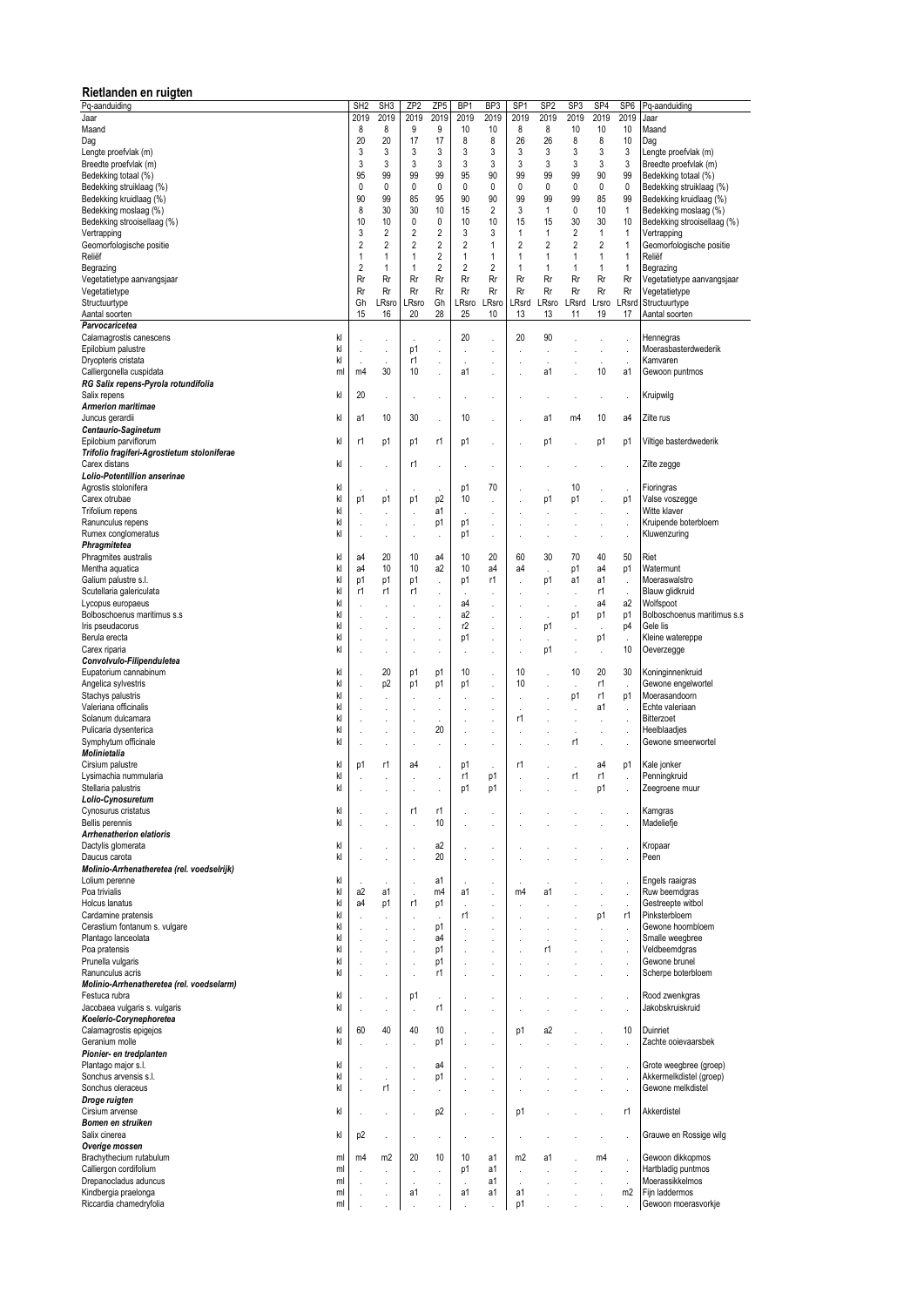| Rietlanden en ruigten                                 |                      |                           |                 |                      |                |                                              |                |                      |                      |                      |                 |                                            |
|-------------------------------------------------------|----------------------|---------------------------|-----------------|----------------------|----------------|----------------------------------------------|----------------|----------------------|----------------------|----------------------|-----------------|--------------------------------------------|
| Pq-aanduiding                                         | SH <sub>2</sub>      | SH <sub>3</sub>           | ZP <sub>2</sub> | ZP5                  | <b>BP</b>      | BP <sub>3</sub>                              | SP             | SP <sub>2</sub>      | SP <sub>3</sub>      | SP <sub>4</sub>      | SP <sub>6</sub> | Pq-aanduiding                              |
| Jaar                                                  | 2019                 | 2019                      | 2019            | 2019                 | 2019           | 2019                                         | 2019           | 2019                 | 2019                 | 2019                 | 2019            | Jaar                                       |
| Maand                                                 | 8                    | 8                         | 9               | 9                    | 10             | 10                                           | 8              | 8                    | 10                   | 10                   | 10              | Maand                                      |
| Dag<br>Lengte proefvlak (m)                           | 20<br>3              | 20<br>3                   | 17<br>3         | 17<br>3              | 8<br>3         | 8<br>3                                       | 26<br>3        | 26<br>3              | 8<br>3               | 8<br>3               | 10<br>3         | Dag<br>Lengte proefvlak (m)                |
| Breedte proefvlak (m)                                 | 3                    | 3                         | 3               | 3                    | 3              | 3                                            | 3              | 3                    | 3                    | 3                    | 3               | Breedte proefvlak (m)                      |
| Bedekking totaal (%)                                  | 95                   | 99                        | 99              | 99                   | 95             | 90                                           | 99             | 99                   | 99                   | 90                   | 99              | Bedekking totaal (%)                       |
| Bedekking struiklaag (%)                              | 0                    | 0                         | 0               | 0                    | 0              | 0                                            | 0              | 0                    | 0                    | 0                    | 0               | Bedekking struiklaag (%)                   |
| Bedekking kruidlaag (%)                               | 90                   | 99                        | 85              | 95                   | 90             | 90                                           | 99             | 99                   | 99                   | 85                   | 99              | Bedekking kruidlaag (%)                    |
| Bedekking moslaag (%)                                 | 8                    | 30                        | 30              | 10                   | 15             | $\overline{2}$                               | 3              | 1                    | 0                    | 10                   | 1               | Bedekking moslaag (%)                      |
| Bedekking strooisellaag (%)                           | 10<br>3              | 10<br>2                   | 0<br>2          | 0<br>2               | 10<br>3        | 10<br>3                                      | 15<br>1        | 15<br>1              | 30<br>2              | 30<br>$\mathbf{1}$   | 10<br>1         | Bedekking strooisellaag (%)<br>Vertrapping |
| Vertrapping<br>Geomorfologische positie               | 2                    | 2                         | 2               | 2                    | 2              | $\mathbf{1}$                                 | 2              | 2                    | 2                    | 2                    | 1               | Geomorfologische positie                   |
| Reliëf                                                | 1                    | 1                         | 1               | $\overline{2}$       | 1              | 1                                            | 1              | 1                    | 1                    | $\mathbf{1}$         | 1               | Reliëf                                     |
| Begrazing                                             | $\overline{2}$       | 1                         | 1               | 2                    | $\overline{2}$ | $\overline{2}$                               | 1              | 1                    | 1                    | 1                    | 1               | Begrazing                                  |
| Vegetatietype aanvangsjaar                            | Rr                   | Rr                        | Rr              | Rr                   | Rr             | Rr                                           | Rr             | Rr                   | Rr                   | Rr                   | Rr              | Vegetatietype aanvangsjaar                 |
| Vegetatietype                                         | Rr                   | Rr                        | Rr              | Rr                   | Rr             | Rr                                           | Rr             | Rr                   | Rr                   | Rr                   | Rr              | Vegetatietype                              |
| Structuurtype                                         | Gh                   | LRsro                     | LRsro           | Gh                   | LRsro          | .Rsro                                        | LRsrd          | LRsro                | LRsrd                | Lrsro                | LRsrd           | Structuurtype                              |
| Aantal soorten<br>Parvocaricetea                      | 15                   | 16                        | 20              | 28                   | 25             | 10                                           | 13             | 13                   | 11                   | 19                   | 17              | Aantal soorten                             |
| kl<br>Calamagrostis canescens                         |                      |                           | J.              |                      | 20             | ï                                            | 20             | 90                   |                      | ï                    | ÷,              | Hennegras                                  |
| kl<br>Epilobium palustre                              | ï                    | $\cdot$                   | p1              | ÷.                   | ä,             | $\ddot{\phantom{0}}$                         |                | l,                   | ł.                   | ï                    | k.              | Moerasbasterdwederik                       |
| kl<br>Dryopteris cristata                             |                      | J.                        | r1              | $\cdot$              | k.             |                                              |                | í.                   |                      |                      |                 | Kamvaren                                   |
| Calliergonella cuspidata<br>ml                        | m4                   | 30                        | 10              | ÷.                   | a1             | ï                                            |                | a1                   | l,                   | 10                   | a1              | Gewoon puntmos                             |
| RG Salix repens-Pyrola rotundifolia                   |                      |                           |                 |                      |                |                                              |                |                      |                      |                      |                 |                                            |
| Salix repens<br>kl<br><b>Armerion maritimae</b>       | 20                   | $\bar{z}$                 | $\cdot$         | ä,                   | ä,             |                                              |                | $\ddot{\phantom{a}}$ | $\ddot{\phantom{0}}$ | $\cdot$              | ä,              | Kruipwilg                                  |
| kl<br>Juncus gerardii                                 | a1                   | 10                        | 30              | l,                   | 10             | ł.                                           |                | a1                   | m4                   | 10                   | a4              | Zilte rus                                  |
| Centaurio-Saginetum                                   |                      |                           |                 |                      |                |                                              |                |                      |                      |                      |                 |                                            |
| Epilobium parviflorum<br>kl                           | r1                   | p1                        | p1              | r1                   | p1             | $\ddot{\phantom{0}}$                         |                | p1                   |                      | p1                   | p1              | Viltige basterdwederik                     |
| Trifolio fragiferi-Agrostietum stoloniferae           |                      |                           |                 |                      |                |                                              |                |                      |                      |                      |                 |                                            |
| Carex distans<br>kl                                   | ï                    | $\ddot{\phantom{a}}$      | r1              | ä,                   |                |                                              |                |                      |                      |                      | J.              | Zilte zegge                                |
| Lolio-Potentillion anserinae                          |                      |                           |                 |                      |                |                                              |                |                      |                      |                      |                 |                                            |
| Agrostis stolonifera<br>kl<br>Carex otrubae<br>kl     | p1                   | p1                        |                 | ÷,                   | p1<br>10       | 70                                           |                |                      | 10<br>p1             | ï                    | J,              | Fioringras                                 |
| Trifolium repens<br>kl                                |                      |                           | p1              | p <sub>2</sub><br>a1 |                | ï<br>$\ddot{\phantom{0}}$                    |                | p1                   |                      |                      | p1              | Valse voszegge<br>Witte klaver             |
| Ranunculus repens<br>kl                               |                      | $\cdot$                   |                 | p1                   | p1             | $\cdot$                                      |                |                      | $\cdot$              | ä,                   |                 | Kruipende boterbloem                       |
| Rumex conglomeratus<br>kl                             | $\ddot{\phantom{0}}$ | $\cdot$                   |                 |                      | p1             | ł.                                           |                |                      | $\cdot$              | l,                   |                 | Kluwenzuring                               |
| Phragmitetea                                          |                      |                           |                 |                      |                |                                              |                |                      |                      |                      |                 |                                            |
| Phragmites australis<br>kl                            | a4                   | 20                        | 10              | a4                   | 10             | 20                                           | 60             | 30                   | 70                   | 40                   | 50              | Riet                                       |
| Mentha aquatica<br>kl                                 | a4                   | 10                        | 10              | a2                   | 10             | a4                                           | a4             | l,                   | p1                   | a4                   | p1              | Watermunt                                  |
| Galium palustre s.l.<br>kl<br>kl                      | p1<br>r1             | p1<br>r1                  | p1<br>r1        | ÷.                   | p1             | r1                                           |                | p1                   | a1                   | a1<br>r1             | $\cdot$         | Moeraswalstro                              |
| Scutellaria galericulata<br>Lycopus europaeus<br>kl   | l,                   | $\ddot{\phantom{0}}$      |                 | ł,                   | a4             | l,                                           |                | $\cdot$              |                      | a4                   | ÷,<br>a2        | Blauw glidkruid<br>Wolfspoot               |
| Bolboschoenus maritimus s.s.<br>kl                    |                      | $\ddot{\phantom{0}}$      |                 |                      | a2             | l,                                           |                | l,                   | p1                   | p1                   | p1              | Bolboschoenus maritimus s.s                |
| Iris pseudacorus<br>kl                                |                      | $\ddot{\phantom{0}}$      |                 |                      | r2             |                                              |                | p1                   |                      |                      | p4              | Gele lis                                   |
| kl<br>Berula erecta                                   | ï                    |                           | ï               | ä,                   | p1             | $\cdot$                                      |                | J.                   | ï                    | p1                   | $\mathbf{r}$    | Kleine watereppe                           |
| kl<br>Carex riparia                                   |                      | $\cdot$                   |                 | ÷,                   | ä,             | ï                                            |                | p1                   | $\ddot{\phantom{0}}$ | $\cdot$              | 10              | Oeverzegge                                 |
| Convolvulo-Filipenduletea                             |                      |                           |                 |                      |                |                                              |                |                      |                      |                      |                 |                                            |
| Eupatorium cannabinum<br>kl<br>kl                     | ï                    | 20                        | p1              | p1                   | 10             | ÷.                                           | 10<br>10       | ï                    | 10                   | 20                   | 30              | Koninginnenkruid                           |
| Angelica sylvestris<br>kl<br>Stachys palustris        | ï                    | p <sub>2</sub><br>$\cdot$ | p1              | p1<br>l,             | p1             | $\ddot{\phantom{0}}$<br>ï                    |                | ï                    | l,<br>p1             | r1<br>r1             | J.<br>p1        | Gewone engelwortel<br>Moerasandoorn        |
| kl<br>Valeriana officinalis                           | ï                    | $\cdot$                   | ï               | ä,                   |                | ï                                            | ×,             | ï                    | ï                    | a1                   | ÷,              | Echte valeriaan                            |
| kl<br>Solanum dulcamara                               | ï                    | $\cdot$                   |                 | ä,                   |                | $\ddot{\phantom{a}}$                         | r1             | ï                    | $\ddot{\phantom{0}}$ |                      | ä,              | Bitterzoet                                 |
| kl<br>Pulicaria dysenterica                           |                      | $\cdot$                   |                 | 20                   |                | $\ddot{\phantom{0}}$                         |                |                      | $\cdot$              | ä,                   | J.              | Heelblaadjes                               |
| Symphytum officinale<br>kl                            |                      | $\cdot$                   |                 | ä,                   |                | $\ddot{\phantom{a}}$                         |                |                      | r1                   |                      |                 | Gewone smeerwortel                         |
| Molinietalia                                          |                      |                           |                 |                      |                |                                              |                |                      |                      |                      |                 |                                            |
| kl<br>Cirsium palustre<br>Lysimachia nummularia<br>kl | p1                   | r1                        | a4              |                      | p1<br>r1       | p1                                           | r1             |                      | r1                   | a4<br>r1             | p1              | Kale jonker<br>Penningkruid                |
| kl<br>Stellaria palustris                             |                      | $\cdot$                   |                 | ä,                   | p1             | p1                                           |                |                      |                      | p1                   |                 | Zeegroene muur                             |
| Lolio-Cynosuretum                                     |                      |                           |                 |                      |                |                                              |                |                      |                      |                      |                 |                                            |
| Cynosurus cristatus<br>kl                             |                      |                           | r1              | r1                   |                | $\cdot$                                      |                |                      |                      | ï                    |                 | Kamgras                                    |
| kl<br>Bellis perennis                                 |                      |                           |                 | 10                   |                | ï                                            |                |                      |                      |                      |                 | Madeliefje                                 |
| <b>Arrhenatherion elatioris</b>                       |                      |                           |                 |                      |                |                                              |                |                      |                      |                      |                 |                                            |
| Dactylis glomerata<br>kl<br>Daucus carota<br>kl       |                      |                           |                 | a2<br>20             |                | $\cdot$                                      |                |                      |                      |                      |                 | Kropaar<br>Peen                            |
| Molinio-Arrhenatheretea (rel. voedselrijk)            |                      | $\cdot$                   |                 |                      |                |                                              |                |                      |                      |                      |                 |                                            |
| Lolium perenne<br>kl                                  |                      |                           |                 | a1                   |                | $\ddot{\phantom{0}}$                         |                |                      |                      |                      |                 | Engels raaigras                            |
| Poa trivialis<br>kl                                   | a2                   | a1                        |                 | m4                   | a1             | l,                                           | m <sub>4</sub> | a1                   |                      |                      |                 | Ruw beemdgras                              |
| kl<br>Holcus lanatus                                  | a4                   | p1                        | r1              | p1                   | ÷,             | $\ddot{\phantom{0}}$                         |                |                      |                      | l,                   |                 | Gestreepte witbol                          |
| kl<br>Cardamine pratensis                             |                      | $\ddot{\phantom{a}}$      |                 | ÷,                   | r1             |                                              |                |                      |                      | p1                   | r1              | Pinksterbloem                              |
| kl<br>Cerastium fontanum s. vulgare                   | ł.                   | $\lambda$                 |                 | p1                   | k.             | ł.                                           |                | ä,                   |                      | $\ddot{\phantom{a}}$ |                 | Gewone hoornbloem                          |
| kl<br>Plantago lanceolata<br>kl<br>Poa pratensis      |                      |                           |                 | a4<br>p1             |                | ï                                            |                | r1                   |                      | ï                    |                 | Smalle weegbree<br>Veldbeemdgras           |
| Prunella vulgaris<br>kl                               |                      | $\lambda$                 |                 | p1                   |                | $\ddot{\phantom{0}}$<br>$\ddot{\phantom{0}}$ |                |                      |                      | ï                    |                 | Gewone brunel                              |
| kl<br>Ranunculus acris                                |                      |                           |                 | r1                   |                |                                              |                |                      |                      |                      |                 | Scherpe boterbloem                         |
| Molinio-Arrhenatheretea (rel. voedselarm)             |                      |                           |                 |                      |                |                                              |                |                      |                      |                      |                 |                                            |
| Festuca rubra<br>kl                                   | ł.                   |                           | p1              | à.                   |                | $\ddot{\phantom{0}}$                         |                |                      |                      |                      |                 | Rood zwenkgras                             |
| kl<br>Jacobaea vulgaris s. vulgaris                   | $\ddot{\phantom{0}}$ |                           | J.              | r1                   |                | $\ddot{\phantom{0}}$                         |                |                      |                      |                      | J,              | Jakobskruiskruid                           |
| Koelerio-Corynephoretea                               |                      |                           |                 |                      |                |                                              |                |                      |                      |                      |                 |                                            |
| Calamagrostis epigejos<br>kl<br>Geranium molle<br>kl  | 60                   | 40                        | 40              | 10                   |                | $\cdot$                                      | p1             | a2                   |                      |                      | 10              | Duinriet<br>Zachte ooievaarsbek            |
| Pionier- en tredplanten                               | ł.                   |                           |                 | p1                   |                | $\ddot{\phantom{0}}$                         |                |                      |                      |                      |                 |                                            |
| Plantago major s.l.<br>kl                             |                      | $\cdot$                   |                 | a4                   |                | $\ddot{\phantom{0}}$                         |                |                      |                      |                      | J.              | Grote weegbree (groep)                     |
| Sonchus arvensis s.l.<br>kl                           |                      |                           |                 | p1                   |                | $\cdot$                                      |                |                      |                      |                      |                 | Akkermelkdistel (groep)                    |
| Sonchus oleraceus<br>kl                               |                      | r1                        |                 | ä,                   |                | $\ddot{\phantom{0}}$                         |                |                      |                      |                      |                 | Gewone melkdistel                          |
| Droge ruigten                                         |                      |                           |                 |                      |                |                                              |                |                      |                      |                      |                 |                                            |
| Cirsium arvense<br>kl                                 |                      | $\cdot$                   |                 | p <sub>2</sub>       |                | ï                                            | p1             |                      |                      |                      | r1              | Akkerdistel                                |
| Bomen en struiken                                     |                      |                           |                 |                      |                |                                              |                |                      |                      |                      |                 |                                            |
| Salix cinerea<br>kl<br>Overige mossen                 | p <sub>2</sub>       | $\cdot$                   |                 | ä,                   |                | $\cdot$                                      |                |                      |                      |                      |                 | Grauwe en Rossige wilg                     |
| Brachythecium rutabulum<br>ml                         | m4                   | m2                        | 20              | 10                   | 10             | a1                                           | m <sub>2</sub> | a1                   |                      | m4                   | ÷,              | Gewoon dikkopmos                           |
| Calliergon cordifolium<br>ml                          |                      |                           |                 |                      | p1             | a1                                           |                |                      |                      |                      |                 | Hartbladig puntmos                         |
| Drepanocladus aduncus<br>ml                           |                      |                           |                 |                      |                | a1                                           |                |                      |                      |                      |                 | Moerassikkelmos                            |
| Kindbergia praelonga<br>ml                            |                      |                           | a1              |                      | a1             | a1                                           | a1             |                      |                      |                      | m2              | Fijn laddermos                             |
| Riccardia chamedryfolia<br>ml                         |                      |                           |                 |                      |                |                                              | p1             |                      |                      |                      |                 | Gewoon moerasvorkje                        |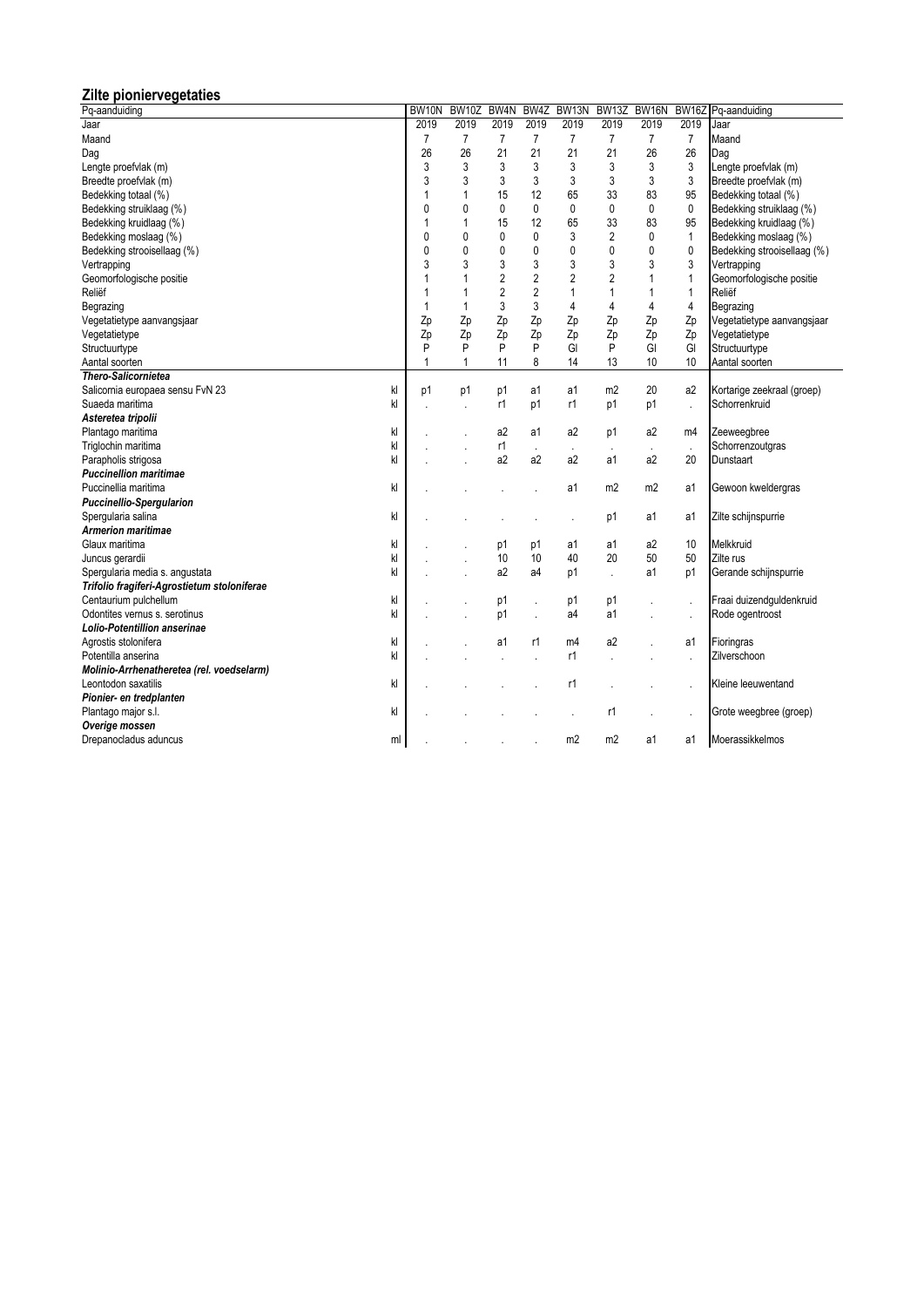# **Zilte pioniervegetaties**

| Pq-aanduiding                               | BW10N          | <b>BW10Z</b>         | BW <sub>4</sub> N | BW4Z           | BW <sub>13N</sub> | BW <sub>13</sub> Z | BW16N          |                | BW16Z Pq-aanduiding         |
|---------------------------------------------|----------------|----------------------|-------------------|----------------|-------------------|--------------------|----------------|----------------|-----------------------------|
| Jaar                                        | 2019           | 2019                 | 2019              | 2019           | 2019              | 2019               | 2019           | 2019           | Jaar                        |
| Maand                                       | $\overline{7}$ | $\overline{7}$       | $\overline{7}$    | $\overline{7}$ | $\overline{7}$    | 7                  | $\overline{7}$ | $\overline{7}$ | Maand                       |
| Dag                                         | 26             | 26                   | 21                | 21             | 21                | 21                 | 26             | 26             | Dag                         |
| Lengte proefvlak (m)                        | 3              | 3                    | 3                 | 3              | 3                 | 3                  | 3              | 3              | Lengte proefvlak (m)        |
| Breedte proefvlak (m)                       | 3              | 3                    | 3                 | 3              | 3                 | 3                  | 3              | 3              | Breedte proefvlak (m)       |
| Bedekking totaal (%)                        | 1              | 1                    | 15                | 12             | 65                | 33                 | 83             | 95             | Bedekking totaal (%)        |
| Bedekking struiklaag (%)                    | 0              | $\mathbf{0}$         | 0                 | 0              | 0                 | 0                  | 0              | 0              | Bedekking struiklaag (%)    |
| Bedekking kruidlaag (%)                     | 1              | 1                    | 15                | 12             | 65                | 33                 | 83             | 95             | Bedekking kruidlaag (%)     |
| Bedekking moslaag (%)                       | $\mathbf{0}$   | $\mathbf{0}$         | 0                 | 0              | 3                 | $\overline{2}$     | 0              | $\mathbf{1}$   | Bedekking moslaag (%)       |
| Bedekking strooisellaag (%)                 | 0              | $\mathbf{0}$         | 0                 | 0              | $\mathbf 0$       | $\mathbf{0}$       | 0              | $\mathbf 0$    | Bedekking strooisellaag (%) |
| Vertrapping                                 | 3              | 3                    | 3                 | 3              | 3                 | 3                  | 3              | 3              | Vertrapping                 |
| Geomorfologische positie                    | 1              | 1                    | $\overline{2}$    | $\overline{2}$ | $\overline{2}$    | $\overline{2}$     | $\mathbf{1}$   | 1              | Geomorfologische positie    |
| Reliëf                                      | 1              | 1                    | $\overline{2}$    | $\overline{2}$ | 1                 | 1                  | $\mathbf{1}$   | $\mathbf{1}$   | Reliëf                      |
| Begrazing                                   | 1              | 1                    | 3                 | 3              | 4                 | 4                  | 4              | 4              | Begrazing                   |
| Vegetatietype aanvangsjaar                  | Zp             | Zp                   | Zp                | Zp             | Zp                | Zp                 | Zp             | Zp             | Vegetatietype aanvangsjaar  |
| Vegetatietype                               | Zp             | Zp                   | Zp                | Zp             | Zp                | Zp                 | Zp             | Zp             | Vegetatietype               |
| Structuurtype                               | P              | P                    | P                 | P              | GI                | P                  | GI             | GI             | Structuurtype               |
| Aantal soorten                              | 1              | 1                    | 11                | 8              | 14                | 13                 | 10             | 10             | Aantal soorten              |
| <b>Thero-Salicornietea</b>                  |                |                      |                   |                |                   |                    |                |                |                             |
| kl<br>Salicornia europaea sensu FvN 23      | p1             | p1                   | p1                | a1             | a1                | m2                 | 20             | a2             | Kortarige zeekraal (groep)  |
| Suaeda maritima<br>kl                       |                | l,                   | r1                | p1             | r1                | p1                 | p1             | l,             | Schorrenkruid               |
| Asteretea tripolii                          |                |                      |                   |                |                   |                    |                |                |                             |
| kl<br>Plantago maritima                     |                |                      | a <sub>2</sub>    | a1             | a2                | p1                 | a2             | m4             | Zeeweegbree                 |
| kl<br>Triglochin maritima                   |                |                      | r1                |                | ä,                |                    |                |                | Schorrenzoutgras            |
| kl<br>Parapholis strigosa                   |                |                      | a2                | a <sub>2</sub> | a2                | a1                 | a2             | 20             | Dunstaart                   |
| <b>Puccinellion maritimae</b>               |                |                      |                   |                |                   |                    |                |                |                             |
| Puccinellia maritima<br>kl                  |                |                      |                   |                | a1                | m2                 | m <sub>2</sub> | a1             | Gewoon kweldergras          |
| <b>Puccinellio-Spergularion</b>             |                |                      |                   |                |                   |                    |                |                |                             |
| kl<br>Spergularia salina                    |                |                      |                   |                |                   | p1                 | a1             | a1             | Zilte schijnspurrie         |
| <b>Armerion maritimae</b>                   |                |                      |                   |                |                   |                    |                |                |                             |
| kl<br>Glaux maritima                        |                |                      | p1                | p1             | a1                | a1                 | a2             | 10             | Melkkruid                   |
| kl<br>Juncus gerardii                       |                | $\ddot{\phantom{a}}$ | 10                | 10             | 40                | 20                 | 50             | 50             | Zilte rus                   |
| kl<br>Spergularia media s. angustata        |                |                      | a2                | a4             | p1                |                    | a1             | p1             | Gerande schijnspurrie       |
| Trifolio fragiferi-Agrostietum stoloniferae |                |                      |                   |                |                   |                    |                |                |                             |
| Centaurium pulchellum<br>kl                 |                |                      | p1                |                | p1                | p1                 |                | ä,             | Fraai duizendguldenkruid    |
| kl<br>Odontites vernus s. serotinus         |                |                      | p1                |                | a4                | a1                 |                | ÷,             | Rode ogentroost             |
| Lolio-Potentillion anserinae                |                |                      |                   |                |                   |                    |                |                |                             |
| kl<br>Agrostis stolonifera                  |                |                      | a1                | r1             | m4                | a <sub>2</sub>     |                | a1             | Fioringras                  |
| kl<br>Potentilla anserina                   |                |                      |                   |                | r1                | ÷,                 |                | ÷.             | Zilverschoon                |
| Molinio-Arrhenatheretea (rel. voedselarm)   |                |                      |                   |                |                   |                    |                |                |                             |
| Leontodon saxatilis<br>kl                   |                |                      |                   |                | r1                |                    |                |                | Kleine leeuwentand          |
| Pionier- en tredplanten                     |                |                      |                   |                |                   |                    |                |                |                             |
| kl<br>Plantago major s.l.                   |                |                      |                   |                |                   | r1                 |                |                | Grote weegbree (groep)      |
| Overige mossen                              |                |                      |                   |                |                   |                    |                |                |                             |
| Drepanocladus aduncus<br>ml                 |                |                      |                   |                | m <sub>2</sub>    | m2                 | a1             | a1             | Moerassikkelmos             |
|                                             |                |                      |                   |                |                   |                    |                |                |                             |